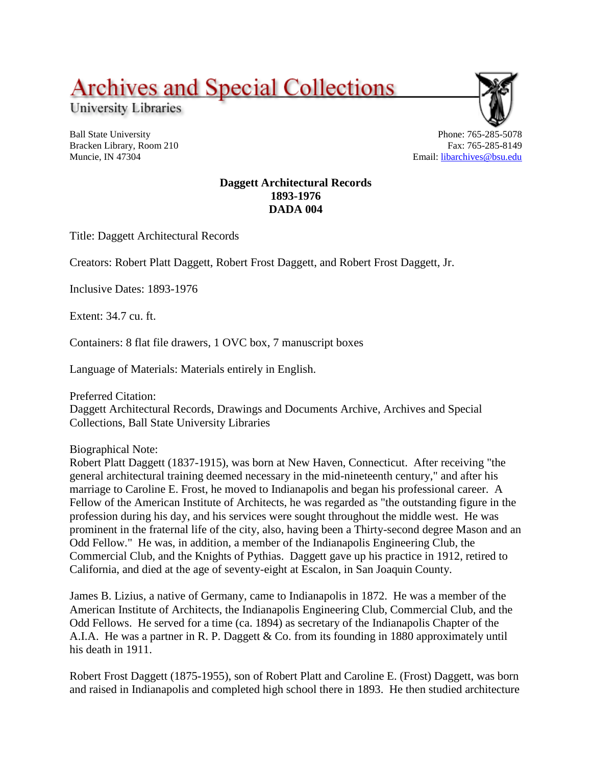# **Archives and Special Collections**

University Libraries

Ball State University Bracken Library, Room 210 Muncie, IN 47304



Phone: 765-285-5078 Fax: 765-285-8149 Email: [libarchives@bsu.edu](mailto:libarchives@bsu.edu)

## **Daggett Architectural Records 1893-1976 DADA 004**

Title: Daggett Architectural Records

Creators: Robert Platt Daggett, Robert Frost Daggett, and Robert Frost Daggett, Jr.

Inclusive Dates: 1893-1976

Extent: 34.7 cu. ft.

Containers: 8 flat file drawers, 1 OVC box, 7 manuscript boxes

Language of Materials: Materials entirely in English.

Preferred Citation:

Daggett Architectural Records, Drawings and Documents Archive, Archives and Special Collections, Ball State University Libraries

Biographical Note:

Robert Platt Daggett (1837-1915), was born at New Haven, Connecticut. After receiving "the general architectural training deemed necessary in the mid-nineteenth century," and after his marriage to Caroline E. Frost, he moved to Indianapolis and began his professional career. A Fellow of the American Institute of Architects, he was regarded as "the outstanding figure in the profession during his day, and his services were sought throughout the middle west. He was prominent in the fraternal life of the city, also, having been a Thirty-second degree Mason and an Odd Fellow." He was, in addition, a member of the Indianapolis Engineering Club, the Commercial Club, and the Knights of Pythias. Daggett gave up his practice in 1912, retired to California, and died at the age of seventy-eight at Escalon, in San Joaquin County.

James B. Lizius, a native of Germany, came to Indianapolis in 1872. He was a member of the American Institute of Architects, the Indianapolis Engineering Club, Commercial Club, and the Odd Fellows. He served for a time (ca. 1894) as secretary of the Indianapolis Chapter of the A.I.A. He was a partner in R. P. Daggett & Co. from its founding in 1880 approximately until his death in 1911.

Robert Frost Daggett (1875-1955), son of Robert Platt and Caroline E. (Frost) Daggett, was born and raised in Indianapolis and completed high school there in 1893. He then studied architecture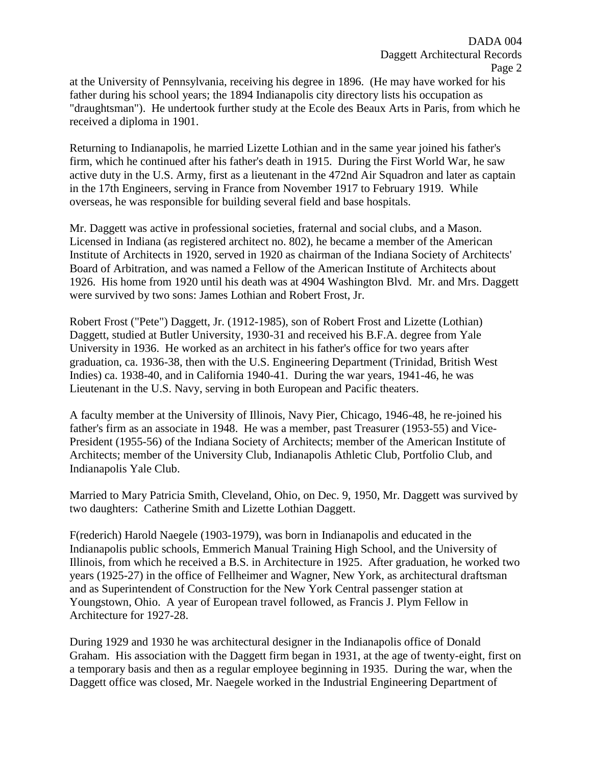at the University of Pennsylvania, receiving his degree in 1896. (He may have worked for his father during his school years; the 1894 Indianapolis city directory lists his occupation as "draughtsman"). He undertook further study at the Ecole des Beaux Arts in Paris, from which he received a diploma in 1901.

Returning to Indianapolis, he married Lizette Lothian and in the same year joined his father's firm, which he continued after his father's death in 1915. During the First World War, he saw active duty in the U.S. Army, first as a lieutenant in the 472nd Air Squadron and later as captain in the 17th Engineers, serving in France from November 1917 to February 1919. While overseas, he was responsible for building several field and base hospitals.

Mr. Daggett was active in professional societies, fraternal and social clubs, and a Mason. Licensed in Indiana (as registered architect no. 802), he became a member of the American Institute of Architects in 1920, served in 1920 as chairman of the Indiana Society of Architects' Board of Arbitration, and was named a Fellow of the American Institute of Architects about 1926. His home from 1920 until his death was at 4904 Washington Blvd. Mr. and Mrs. Daggett were survived by two sons: James Lothian and Robert Frost, Jr.

Robert Frost ("Pete") Daggett, Jr. (1912-1985), son of Robert Frost and Lizette (Lothian) Daggett, studied at Butler University, 1930-31 and received his B.F.A. degree from Yale University in 1936. He worked as an architect in his father's office for two years after graduation, ca. 1936-38, then with the U.S. Engineering Department (Trinidad, British West Indies) ca. 1938-40, and in California 1940-41. During the war years, 1941-46, he was Lieutenant in the U.S. Navy, serving in both European and Pacific theaters.

A faculty member at the University of Illinois, Navy Pier, Chicago, 1946-48, he re-joined his father's firm as an associate in 1948. He was a member, past Treasurer (1953-55) and Vice-President (1955-56) of the Indiana Society of Architects; member of the American Institute of Architects; member of the University Club, Indianapolis Athletic Club, Portfolio Club, and Indianapolis Yale Club.

Married to Mary Patricia Smith, Cleveland, Ohio, on Dec. 9, 1950, Mr. Daggett was survived by two daughters: Catherine Smith and Lizette Lothian Daggett.

F(rederich) Harold Naegele (1903-1979), was born in Indianapolis and educated in the Indianapolis public schools, Emmerich Manual Training High School, and the University of Illinois, from which he received a B.S. in Architecture in 1925. After graduation, he worked two years (1925-27) in the office of Fellheimer and Wagner, New York, as architectural draftsman and as Superintendent of Construction for the New York Central passenger station at Youngstown, Ohio. A year of European travel followed, as Francis J. Plym Fellow in Architecture for 1927-28.

During 1929 and 1930 he was architectural designer in the Indianapolis office of Donald Graham. His association with the Daggett firm began in 1931, at the age of twenty-eight, first on a temporary basis and then as a regular employee beginning in 1935. During the war, when the Daggett office was closed, Mr. Naegele worked in the Industrial Engineering Department of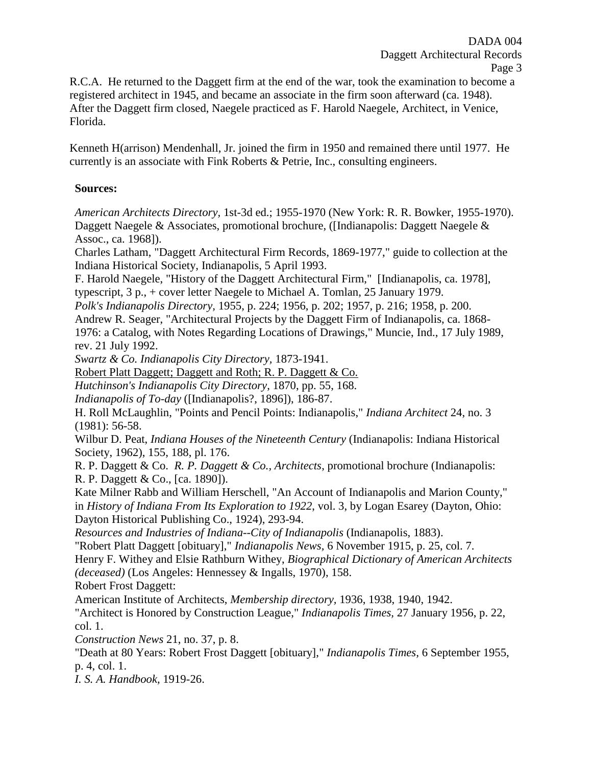R.C.A. He returned to the Daggett firm at the end of the war, took the examination to become a registered architect in 1945, and became an associate in the firm soon afterward (ca. 1948). After the Daggett firm closed, Naegele practiced as F. Harold Naegele, Architect, in Venice, Florida.

Kenneth H(arrison) Mendenhall, Jr. joined the firm in 1950 and remained there until 1977. He currently is an associate with Fink Roberts & Petrie, Inc., consulting engineers.

## **Sources:**

*American Architects Directory,* 1st-3d ed.; 1955-1970 (New York: R. R. Bowker, 1955-1970). Daggett Naegele & Associates, promotional brochure, ([Indianapolis: Daggett Naegele & Assoc., ca. 1968]).

Charles Latham, "Daggett Architectural Firm Records, 1869-1977," guide to collection at the Indiana Historical Society, Indianapolis, 5 April 1993.

F. Harold Naegele, "History of the Daggett Architectural Firm," [Indianapolis, ca. 1978], typescript, 3 p., + cover letter Naegele to Michael A. Tomlan, 25 January 1979.

*Polk's Indianapolis Directory,* 1955, p. 224; 1956, p. 202; 1957, p. 216; 1958, p. 200.

Andrew R. Seager, "Architectural Projects by the Daggett Firm of Indianapolis, ca. 1868- 1976: a Catalog, with Notes Regarding Locations of Drawings," Muncie, Ind., 17 July 1989, rev. 21 July 1992.

*Swartz & Co. Indianapolis City Directory,* 1873-1941.

Robert Platt Daggett; Daggett and Roth; R. P. Daggett & Co.

*Hutchinson's Indianapolis City Directory*, 1870, pp. 55, 168.

*Indianapolis of To-day* ([Indianapolis?, 1896]), 186-87.

H. Roll McLaughlin, "Points and Pencil Points: Indianapolis," *Indiana Architect* 24, no. 3 (1981): 56-58.

Wilbur D. Peat, *Indiana Houses of the Nineteenth Century* (Indianapolis: Indiana Historical Society, 1962), 155, 188, pl. 176.

R. P. Daggett & Co. *R. P. Daggett & Co., Architects*, promotional brochure (Indianapolis: R. P. Daggett & Co., [ca. 1890]).

Kate Milner Rabb and William Herschell, "An Account of Indianapolis and Marion County," in *History of Indiana From Its Exploration to 1922*, vol. 3, by Logan Esarey (Dayton, Ohio: Dayton Historical Publishing Co., 1924), 293-94.

*Resources and Industries of Indiana--City of Indianapolis* (Indianapolis, 1883).

"Robert Platt Daggett [obituary]," *Indianapolis News,* 6 November 1915, p. 25, col. 7.

Henry F. Withey and Elsie Rathburn Withey, *Biographical Dictionary of American Architects (deceased)* (Los Angeles: Hennessey & Ingalls, 1970), 158.

Robert Frost Daggett:

American Institute of Architects, *Membership directory,* 1936, 1938, 1940, 1942.

"Architect is Honored by Construction League," *Indianapolis Times,* 27 January 1956, p. 22, col. 1.

*Construction News* 21, no. 37, p. 8.

"Death at 80 Years: Robert Frost Daggett [obituary]," *Indianapolis Times,* 6 September 1955, p. 4, col. 1.

*I. S. A. Handbook,* 1919-26.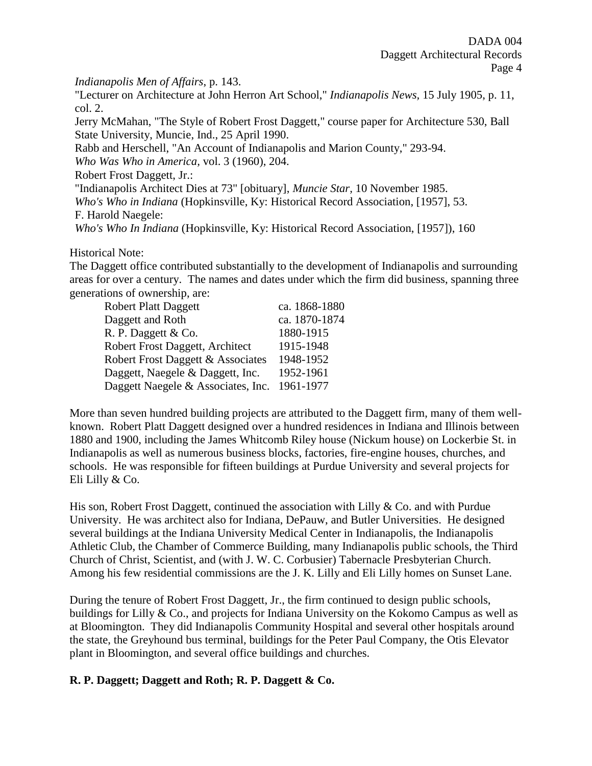*Indianapolis Men of Affairs*, p. 143.

"Lecturer on Architecture at John Herron Art School," *Indianapolis News,* 15 July 1905, p. 11, col. 2.

Jerry McMahan, "The Style of Robert Frost Daggett," course paper for Architecture 530, Ball State University, Muncie, Ind., 25 April 1990.

Rabb and Herschell, "An Account of Indianapolis and Marion County," 293-94.

*Who Was Who in America,* vol. 3 (1960), 204.

Robert Frost Daggett, Jr.:

"Indianapolis Architect Dies at 73" [obituary], *Muncie Star,* 10 November 1985.

*Who's Who in Indiana* (Hopkinsville, Ky: Historical Record Association, [1957], 53.

F. Harold Naegele:

*Who's Who In Indiana* (Hopkinsville, Ky: Historical Record Association, [1957]), 160

## Historical Note:

The Daggett office contributed substantially to the development of Indianapolis and surrounding areas for over a century. The names and dates under which the firm did business, spanning three generations of ownership, are:

| <b>Robert Platt Daggett</b>        | ca. 1868-1880 |
|------------------------------------|---------------|
| Daggett and Roth                   | ca. 1870-1874 |
| R. P. Daggett & Co.                | 1880-1915     |
| Robert Frost Daggett, Architect    | 1915-1948     |
| Robert Frost Daggett & Associates  | 1948-1952     |
| Daggett, Naegele & Daggett, Inc.   | 1952-1961     |
| Daggett Naegele & Associates, Inc. | 1961-1977     |

More than seven hundred building projects are attributed to the Daggett firm, many of them wellknown. Robert Platt Daggett designed over a hundred residences in Indiana and Illinois between 1880 and 1900, including the James Whitcomb Riley house (Nickum house) on Lockerbie St. in Indianapolis as well as numerous business blocks, factories, fire-engine houses, churches, and schools. He was responsible for fifteen buildings at Purdue University and several projects for Eli Lilly & Co.

His son, Robert Frost Daggett, continued the association with Lilly & Co. and with Purdue University. He was architect also for Indiana, DePauw, and Butler Universities. He designed several buildings at the Indiana University Medical Center in Indianapolis, the Indianapolis Athletic Club, the Chamber of Commerce Building, many Indianapolis public schools, the Third Church of Christ, Scientist, and (with J. W. C. Corbusier) Tabernacle Presbyterian Church. Among his few residential commissions are the J. K. Lilly and Eli Lilly homes on Sunset Lane.

During the tenure of Robert Frost Daggett, Jr., the firm continued to design public schools, buildings for Lilly & Co., and projects for Indiana University on the Kokomo Campus as well as at Bloomington. They did Indianapolis Community Hospital and several other hospitals around the state, the Greyhound bus terminal, buildings for the Peter Paul Company, the Otis Elevator plant in Bloomington, and several office buildings and churches.

# **R. P. Daggett; Daggett and Roth; R. P. Daggett & Co.**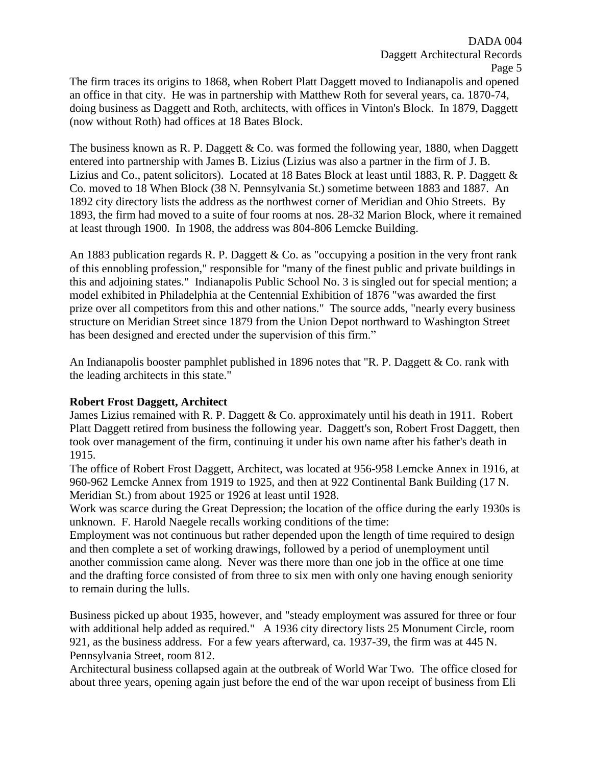The firm traces its origins to 1868, when Robert Platt Daggett moved to Indianapolis and opened an office in that city. He was in partnership with Matthew Roth for several years, ca. 1870-74, doing business as Daggett and Roth, architects, with offices in Vinton's Block. In 1879, Daggett (now without Roth) had offices at 18 Bates Block.

The business known as R. P. Daggett & Co. was formed the following year, 1880, when Daggett entered into partnership with James B. Lizius (Lizius was also a partner in the firm of J. B. Lizius and Co., patent solicitors). Located at 18 Bates Block at least until 1883, R. P. Daggett & Co. moved to 18 When Block (38 N. Pennsylvania St.) sometime between 1883 and 1887. An 1892 city directory lists the address as the northwest corner of Meridian and Ohio Streets. By 1893, the firm had moved to a suite of four rooms at nos. 28-32 Marion Block, where it remained at least through 1900. In 1908, the address was 804-806 Lemcke Building.

An 1883 publication regards R. P. Daggett & Co. as "occupying a position in the very front rank of this ennobling profession," responsible for "many of the finest public and private buildings in this and adjoining states." Indianapolis Public School No. 3 is singled out for special mention; a model exhibited in Philadelphia at the Centennial Exhibition of 1876 "was awarded the first prize over all competitors from this and other nations." The source adds, "nearly every business structure on Meridian Street since 1879 from the Union Depot northward to Washington Street has been designed and erected under the supervision of this firm."

An Indianapolis booster pamphlet published in 1896 notes that "R. P. Daggett & Co. rank with the leading architects in this state."

# **Robert Frost Daggett, Architect**

James Lizius remained with R. P. Daggett & Co. approximately until his death in 1911. Robert Platt Daggett retired from business the following year. Daggett's son, Robert Frost Daggett, then took over management of the firm, continuing it under his own name after his father's death in 1915.

The office of Robert Frost Daggett, Architect, was located at 956-958 Lemcke Annex in 1916, at 960-962 Lemcke Annex from 1919 to 1925, and then at 922 Continental Bank Building (17 N. Meridian St.) from about 1925 or 1926 at least until 1928.

Work was scarce during the Great Depression; the location of the office during the early 1930s is unknown. F. Harold Naegele recalls working conditions of the time:

Employment was not continuous but rather depended upon the length of time required to design and then complete a set of working drawings, followed by a period of unemployment until another commission came along. Never was there more than one job in the office at one time and the drafting force consisted of from three to six men with only one having enough seniority to remain during the lulls.

Business picked up about 1935, however, and "steady employment was assured for three or four with additional help added as required." A 1936 city directory lists 25 Monument Circle, room 921, as the business address. For a few years afterward, ca. 1937-39, the firm was at 445 N. Pennsylvania Street, room 812.

Architectural business collapsed again at the outbreak of World War Two. The office closed for about three years, opening again just before the end of the war upon receipt of business from Eli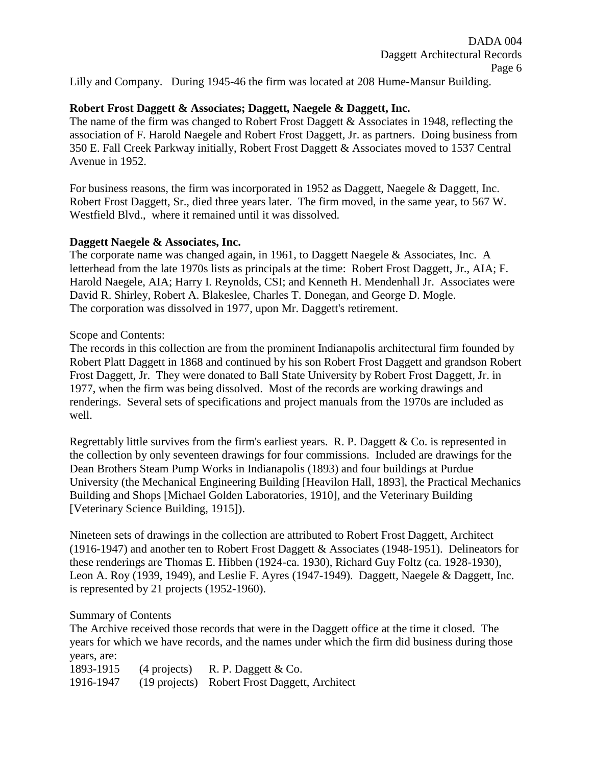Lilly and Company. During 1945-46 the firm was located at 208 Hume-Mansur Building.

## **Robert Frost Daggett & Associates; Daggett, Naegele & Daggett, Inc.**

The name of the firm was changed to Robert Frost Daggett & Associates in 1948, reflecting the association of F. Harold Naegele and Robert Frost Daggett, Jr. as partners. Doing business from 350 E. Fall Creek Parkway initially, Robert Frost Daggett & Associates moved to 1537 Central Avenue in 1952.

For business reasons, the firm was incorporated in 1952 as Daggett, Naegele & Daggett, Inc. Robert Frost Daggett, Sr., died three years later. The firm moved, in the same year, to 567 W. Westfield Blvd., where it remained until it was dissolved.

## **Daggett Naegele & Associates, Inc.**

The corporate name was changed again, in 1961, to Daggett Naegele & Associates, Inc. A letterhead from the late 1970s lists as principals at the time: Robert Frost Daggett, Jr., AIA; F. Harold Naegele, AIA; Harry I. Reynolds, CSI; and Kenneth H. Mendenhall Jr. Associates were David R. Shirley, Robert A. Blakeslee, Charles T. Donegan, and George D. Mogle. The corporation was dissolved in 1977, upon Mr. Daggett's retirement.

## Scope and Contents:

The records in this collection are from the prominent Indianapolis architectural firm founded by Robert Platt Daggett in 1868 and continued by his son Robert Frost Daggett and grandson Robert Frost Daggett, Jr. They were donated to Ball State University by Robert Frost Daggett, Jr. in 1977, when the firm was being dissolved. Most of the records are working drawings and renderings. Several sets of specifications and project manuals from the 1970s are included as well.

Regrettably little survives from the firm's earliest years. R. P. Daggett & Co. is represented in the collection by only seventeen drawings for four commissions. Included are drawings for the Dean Brothers Steam Pump Works in Indianapolis (1893) and four buildings at Purdue University (the Mechanical Engineering Building [Heavilon Hall, 1893], the Practical Mechanics Building and Shops [Michael Golden Laboratories, 1910], and the Veterinary Building [Veterinary Science Building, 1915]).

Nineteen sets of drawings in the collection are attributed to Robert Frost Daggett, Architect (1916-1947) and another ten to Robert Frost Daggett & Associates (1948-1951). Delineators for these renderings are Thomas E. Hibben (1924-ca. 1930), Richard Guy Foltz (ca. 1928-1930), Leon A. Roy (1939, 1949), and Leslie F. Ayres (1947-1949). Daggett, Naegele & Daggett, Inc. is represented by 21 projects (1952-1960).

## Summary of Contents

The Archive received those records that were in the Daggett office at the time it closed. The years for which we have records, and the names under which the firm did business during those years, are:

1893-1915 (4 projects) R. P. Daggett & Co. 1916-1947 (19 projects) Robert Frost Daggett, Architect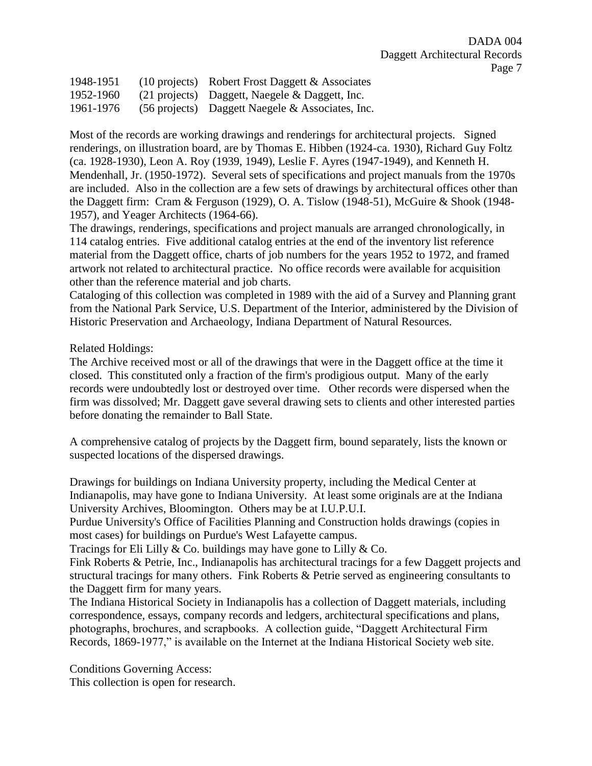| 1948-1951 | $(10 \text{ projects})$ Robert Frost Daggett & Associates  |
|-----------|------------------------------------------------------------|
| 1952-1960 | $(21 \text{ projects})$ Daggett, Naegele & Daggett, Inc.   |
| 1961-1976 | $(56 \text{ projects})$ Daggett Naegele & Associates, Inc. |

Most of the records are working drawings and renderings for architectural projects. Signed renderings, on illustration board, are by Thomas E. Hibben (1924-ca. 1930), Richard Guy Foltz (ca. 1928-1930), Leon A. Roy (1939, 1949), Leslie F. Ayres (1947-1949), and Kenneth H. Mendenhall, Jr. (1950-1972). Several sets of specifications and project manuals from the 1970s are included. Also in the collection are a few sets of drawings by architectural offices other than the Daggett firm: Cram & Ferguson (1929), O. A. Tislow (1948-51), McGuire & Shook (1948- 1957), and Yeager Architects (1964-66).

The drawings, renderings, specifications and project manuals are arranged chronologically, in 114 catalog entries. Five additional catalog entries at the end of the inventory list reference material from the Daggett office, charts of job numbers for the years 1952 to 1972, and framed artwork not related to architectural practice. No office records were available for acquisition other than the reference material and job charts.

Cataloging of this collection was completed in 1989 with the aid of a Survey and Planning grant from the National Park Service, U.S. Department of the Interior, administered by the Division of Historic Preservation and Archaeology, Indiana Department of Natural Resources.

Related Holdings:

The Archive received most or all of the drawings that were in the Daggett office at the time it closed. This constituted only a fraction of the firm's prodigious output. Many of the early records were undoubtedly lost or destroyed over time. Other records were dispersed when the firm was dissolved; Mr. Daggett gave several drawing sets to clients and other interested parties before donating the remainder to Ball State.

A comprehensive catalog of projects by the Daggett firm, bound separately, lists the known or suspected locations of the dispersed drawings.

Drawings for buildings on Indiana University property, including the Medical Center at Indianapolis, may have gone to Indiana University. At least some originals are at the Indiana University Archives, Bloomington. Others may be at I.U.P.U.I.

Purdue University's Office of Facilities Planning and Construction holds drawings (copies in most cases) for buildings on Purdue's West Lafayette campus.

Tracings for Eli Lilly  $& Co.$  buildings may have gone to Lilly  $& Co.$ 

Fink Roberts & Petrie, Inc., Indianapolis has architectural tracings for a few Daggett projects and structural tracings for many others. Fink Roberts & Petrie served as engineering consultants to the Daggett firm for many years.

The Indiana Historical Society in Indianapolis has a collection of Daggett materials, including correspondence, essays, company records and ledgers, architectural specifications and plans, photographs, brochures, and scrapbooks. A collection guide, "Daggett Architectural Firm Records, 1869-1977," is available on the Internet at the Indiana Historical Society web site.

Conditions Governing Access: This collection is open for research.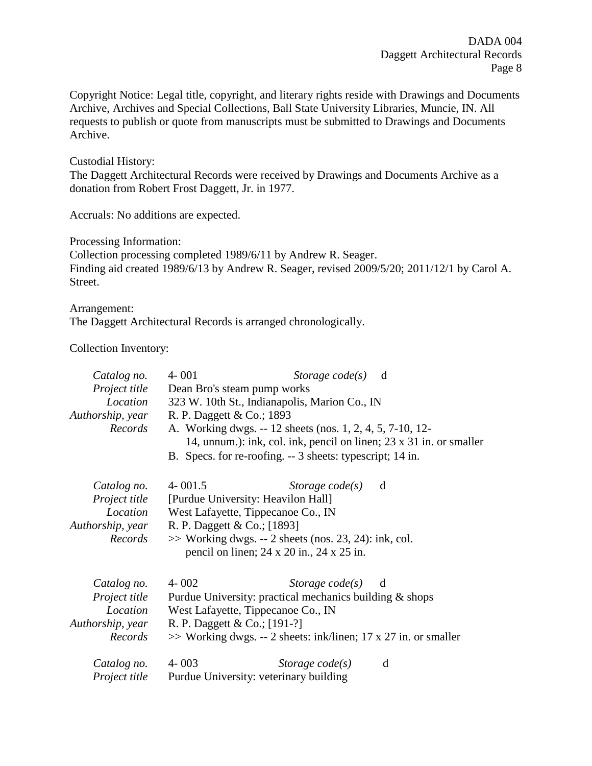Copyright Notice: Legal title, copyright, and literary rights reside with Drawings and Documents Archive, Archives and Special Collections, Ball State University Libraries, Muncie, IN. All requests to publish or quote from manuscripts must be submitted to Drawings and Documents Archive.

Custodial History:

The Daggett Architectural Records were received by Drawings and Documents Archive as a donation from Robert Frost Daggett, Jr. in 1977.

Accruals: No additions are expected.

Processing Information:

Collection processing completed 1989/6/11 by Andrew R. Seager. Finding aid created 1989/6/13 by Andrew R. Seager, revised 2009/5/20; 2011/12/1 by Carol A. Street.

Arrangement:

The Daggett Architectural Records is arranged chronologically.

Collection Inventory:

| Catalog no.          | $4 - 001$                                          | Storage $code(s)$ d                                                 |   |
|----------------------|----------------------------------------------------|---------------------------------------------------------------------|---|
| Project title        | Dean Bro's steam pump works                        |                                                                     |   |
| Location             |                                                    | 323 W. 10th St., Indianapolis, Marion Co., IN                       |   |
| Authorship, year     | R. P. Daggett & Co.; 1893                          |                                                                     |   |
| Records              |                                                    | A. Working dwgs. -- 12 sheets (nos. 1, 2, 4, 5, 7-10, 12-           |   |
|                      |                                                    | 14, unnum.): ink, col. ink, pencil on linen; 23 x 31 in. or smaller |   |
|                      |                                                    | B. Specs. for re-roofing. -- 3 sheets: typescript; 14 in.           |   |
| Catalog no.          | $4 - 001.5$                                        | Storage $code(s)$ d                                                 |   |
| <i>Project title</i> |                                                    | [Purdue University: Heavilon Hall]                                  |   |
|                      | <i>Location</i> West Lafayette, Tippecanoe Co., IN |                                                                     |   |
| Authorship, year     | R. P. Daggett & Co.; [1893]                        |                                                                     |   |
| Records              |                                                    | $\gg$ Working dwgs. -- 2 sheets (nos. 23, 24): ink, col.            |   |
|                      |                                                    | pencil on linen; $24 \times 20$ in., $24 \times 25$ in.             |   |
| Catalog no.          | $4 - 002$                                          | <i>Storage code(s)</i> d                                            |   |
| <i>Project title</i> |                                                    | Purdue University: practical mechanics building $&$ shops           |   |
| Location             | West Lafayette, Tippecanoe Co., IN                 |                                                                     |   |
| Authorship, year     | R. P. Daggett & Co.; [191-?]                       |                                                                     |   |
| Records              |                                                    | $\gg$ Working dwgs. -- 2 sheets: ink/linen; 17 x 27 in. or smaller  |   |
| Catalog no. 4-003    |                                                    | Storage $code(s)$                                                   | d |
| <i>Project title</i> |                                                    | Purdue University: veterinary building                              |   |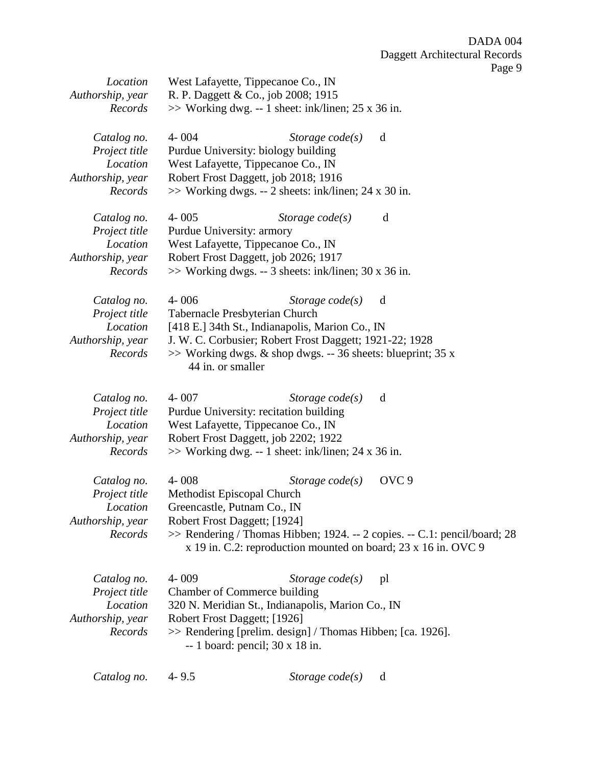| Location<br>Authorship, year<br>Records                                 | West Lafayette, Tippecanoe Co., IN<br>R. P. Daggett & Co., job 2008; 1915<br>$\gg$ Working dwg. -- 1 sheet: ink/linen; 25 x 36 in.                                                                                                                                                             |
|-------------------------------------------------------------------------|------------------------------------------------------------------------------------------------------------------------------------------------------------------------------------------------------------------------------------------------------------------------------------------------|
| Catalog no.<br>Project title<br>Location<br>Authorship, year<br>Records | $4 - 004$<br>Storage $code(s)$<br>d<br>Purdue University: biology building<br>West Lafayette, Tippecanoe Co., IN<br>Robert Frost Daggett, job 2018; 1916<br>$\gg$ Working dwgs. -- 2 sheets: ink/linen; 24 x 30 in.                                                                            |
| Catalog no.<br>Project title<br>Location<br>Authorship, year<br>Records | $4 - 005$<br>d<br>Storage $code(s)$<br>Purdue University: armory<br>West Lafayette, Tippecanoe Co., IN<br>Robert Frost Daggett, job 2026; 1917<br>$\gg$ Working dwgs. -- 3 sheets: ink/linen; 30 x 36 in.                                                                                      |
| Catalog no.<br>Project title<br>Location<br>Authorship, year<br>Records | $4 - 006$<br>Storage $code(s)$<br>d<br>Tabernacle Presbyterian Church<br>[418 E.] 34th St., Indianapolis, Marion Co., IN<br>J. W. C. Corbusier; Robert Frost Daggett; 1921-22; 1928<br>$\gg$ Working dwgs. & shop dwgs. -- 36 sheets: blueprint; 35 x<br>44 in. or smaller                     |
| Catalog no.<br>Project title<br>Location<br>Authorship, year<br>Records | $4 - 007$<br>Storage $code(s)$<br>d<br>Purdue University: recitation building<br>West Lafayette, Tippecanoe Co., IN<br>Robert Frost Daggett, job 2202; 1922<br>$\gg$ Working dwg. -- 1 sheet: ink/linen; 24 x 36 in.                                                                           |
| Catalog no.<br>Project title<br>Location<br>Authorship, year<br>Records | OVC <sub>9</sub><br>$4 - 008$<br>Storage $code(s)$<br>Methodist Episcopal Church<br>Greencastle, Putnam Co., IN<br>Robert Frost Daggett; [1924]<br>>> Rendering / Thomas Hibben; 1924. -- 2 copies. -- C.1: pencil/board; 28<br>x 19 in. C.2: reproduction mounted on board; 23 x 16 in. OVC 9 |
| Catalog no.<br>Project title<br>Location<br>Authorship, year<br>Records | $4 - 009$<br>Storage $code(s)$<br>pl<br>Chamber of Commerce building<br>320 N. Meridian St., Indianapolis, Marion Co., IN<br>Robert Frost Daggett; [1926]<br>$\gg$ Rendering [prelim. design] / Thomas Hibben; [ca. 1926].<br>$-1$ board: pencil; 30 x 18 in.                                  |

*Catalog no.* 4- 9.5 *Storage code(s)* d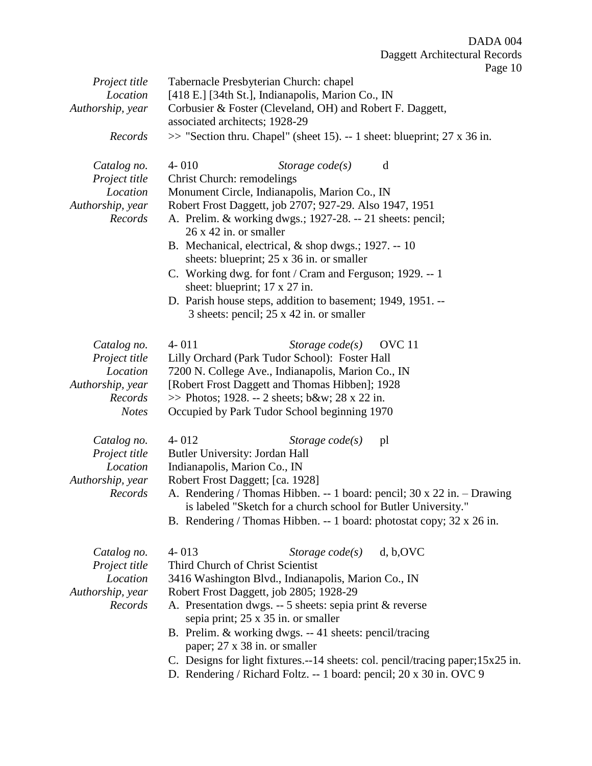|                  | 1 agu 10                                                                       |  |
|------------------|--------------------------------------------------------------------------------|--|
| Project title    | Tabernacle Presbyterian Church: chapel                                         |  |
| Location         | [418 E.] [34th St.], Indianapolis, Marion Co., IN                              |  |
| Authorship, year | Corbusier & Foster (Cleveland, OH) and Robert F. Daggett,                      |  |
|                  | associated architects; 1928-29                                                 |  |
| Records          | $\gg$ "Section thru. Chapel" (sheet 15). -- 1 sheet: blueprint; 27 x 36 in.    |  |
| Catalog no.      | $4 - 010$<br>d<br>Storage $code(s)$                                            |  |
| Project title    | <b>Christ Church: remodelings</b>                                              |  |
| Location         | Monument Circle, Indianapolis, Marion Co., IN                                  |  |
| Authorship, year | Robert Frost Daggett, job 2707; 927-29. Also 1947, 1951                        |  |
| Records          | A. Prelim. & working dwgs.; 1927-28. -- 21 sheets: pencil;                     |  |
|                  | $26 \times 42$ in. or smaller                                                  |  |
|                  | B. Mechanical, electrical, & shop dwgs.; 1927. -- 10                           |  |
|                  | sheets: blueprint; 25 x 36 in. or smaller                                      |  |
|                  | C. Working dwg. for font / Cram and Ferguson; 1929. -- 1                       |  |
|                  | sheet: blueprint; 17 x 27 in.                                                  |  |
|                  | D. Parish house steps, addition to basement; 1949, 1951. --                    |  |
|                  | 3 sheets: pencil; 25 x 42 in. or smaller                                       |  |
| Catalog no.      | $4 - 011$<br>Storage $code(s)$<br>OVC <sub>11</sub>                            |  |
| Project title    | Lilly Orchard (Park Tudor School): Foster Hall                                 |  |
| Location         | 7200 N. College Ave., Indianapolis, Marion Co., IN                             |  |
| Authorship, year | [Robert Frost Daggett and Thomas Hibben]; 1928                                 |  |
| Records          | $\gg$ Photos; 1928. -- 2 sheets; b&w 28 x 22 in.                               |  |
| <b>Notes</b>     | Occupied by Park Tudor School beginning 1970                                   |  |
| Catalog no.      | $4 - 012$<br>Storage $code(s)$<br>pl                                           |  |
| Project title    | Butler University: Jordan Hall                                                 |  |
| Location         | Indianapolis, Marion Co., IN                                                   |  |
| Authorship, year | Robert Frost Daggett; [ca. 1928]                                               |  |
| Records          | A. Rendering / Thomas Hibben. -- 1 board: pencil; 30 x 22 in. - Drawing        |  |
|                  | is labeled "Sketch for a church school for Butler University."                 |  |
|                  | B. Rendering / Thomas Hibben. -- 1 board: photostat copy; 32 x 26 in.          |  |
| Catalog no.      | $4 - 013$<br>Storage code(s)<br>d, b, OVC                                      |  |
| Project title    | Third Church of Christ Scientist                                               |  |
| Location         | 3416 Washington Blvd., Indianapolis, Marion Co., IN                            |  |
| Authorship, year | Robert Frost Daggett, job 2805; 1928-29                                        |  |
| Records          | A. Presentation dwgs. -- 5 sheets: sepia print & reverse                       |  |
|                  | sepia print; 25 x 35 in. or smaller                                            |  |
|                  | B. Prelim. & working dwgs. -- 41 sheets: pencil/tracing                        |  |
|                  | paper; 27 x 38 in. or smaller                                                  |  |
|                  | C. Designs for light fixtures.--14 sheets: col. pencil/tracing paper;15x25 in. |  |
|                  | $(D)_c$ b and $E_0$ line $(D_1 \cup D_2)$ is $D_1 \cup D_2$ in $D_2$           |  |

D. Rendering / Richard Foltz. -- 1 board: pencil; 20 x 30 in. OVC 9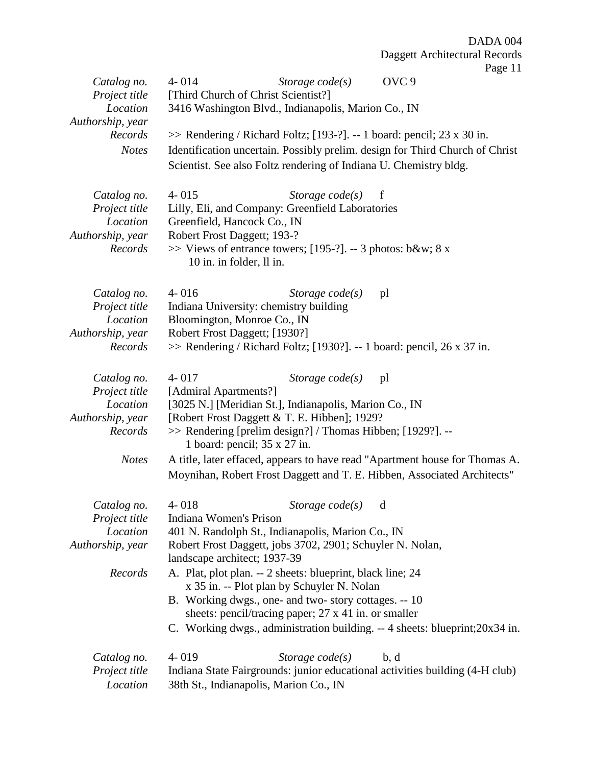| Catalog no.                  | OVC <sub>9</sub><br>$4 - 014$<br>Storage $code(s)$                                                        |
|------------------------------|-----------------------------------------------------------------------------------------------------------|
| Project title                | [Third Church of Christ Scientist?]                                                                       |
| Location                     | 3416 Washington Blvd., Indianapolis, Marion Co., IN                                                       |
| Authorship, year             |                                                                                                           |
| Records                      | $\gg$ Rendering / Richard Foltz; [193-?]. -- 1 board: pencil; 23 x 30 in.                                 |
| <b>Notes</b>                 | Identification uncertain. Possibly prelim. design for Third Church of Christ                              |
|                              | Scientist. See also Foltz rendering of Indiana U. Chemistry bldg.                                         |
|                              |                                                                                                           |
| Catalog no.                  | $4 - 015$<br>Storage $code(s)$<br>$\mathbf f$                                                             |
| Project title<br>Location    | Lilly, Eli, and Company: Greenfield Laboratories<br>Greenfield, Hancock Co., IN                           |
| Authorship, year             | Robert Frost Daggett; 193-?                                                                               |
| Records                      | $\gg$ Views of entrance towers; [195-?]. -- 3 photos: b&w 8 x                                             |
|                              | 10 in. in folder, ll in.                                                                                  |
|                              |                                                                                                           |
| Catalog no.                  | $4 - 016$<br>Storage $code(s)$<br>pl                                                                      |
| Project title                | Indiana University: chemistry building                                                                    |
| Location                     | Bloomington, Monroe Co., IN                                                                               |
| Authorship, year             | Robert Frost Daggett; [1930?]                                                                             |
| Records                      | $\gg$ Rendering / Richard Foltz; [1930?]. -- 1 board: pencil, 26 x 37 in.                                 |
|                              |                                                                                                           |
| Catalog no.                  | $4 - 017$<br>Storage $code(s)$<br>pl                                                                      |
| Project title                | [Admiral Apartments?]                                                                                     |
| Location                     | [3025 N.] [Meridian St.], Indianapolis, Marion Co., IN                                                    |
| Authorship, year             | [Robert Frost Daggett & T. E. Hibben]; 1929?                                                              |
| Records                      | >> Rendering [prelim design?] / Thomas Hibben; [1929?]. --<br>1 board: pencil; $35 \times 27$ in.         |
| <b>Notes</b>                 | A title, later effaced, appears to have read "Apartment house for Thomas A.                               |
|                              | Moynihan, Robert Frost Daggett and T. E. Hibben, Associated Architects"                                   |
|                              |                                                                                                           |
| Catalog no. 4-018            | Storage $code(s)$ d                                                                                       |
| Project title                | Indiana Women's Prison                                                                                    |
| Location                     | 401 N. Randolph St., Indianapolis, Marion Co., IN                                                         |
| Authorship, year             | Robert Frost Daggett, jobs 3702, 2901; Schuyler N. Nolan,                                                 |
|                              | landscape architect; 1937-39                                                                              |
| Records                      | A. Plat, plot plan. -- 2 sheets: blueprint, black line; 24                                                |
|                              | x 35 in. -- Plot plan by Schuyler N. Nolan                                                                |
|                              | B. Working dwgs., one- and two-story cottages. -- 10                                                      |
|                              | sheets: pencil/tracing paper; 27 x 41 in. or smaller                                                      |
|                              | C. Working dwgs., administration building. -- 4 sheets: blueprint; 20x34 in.                              |
|                              | $4 - 019$                                                                                                 |
| Catalog no.<br>Project title | Storage $code(s)$<br>b, d<br>Indiana State Fairgrounds: junior educational activities building (4-H club) |
|                              |                                                                                                           |
| Location                     | 38th St., Indianapolis, Marion Co., IN                                                                    |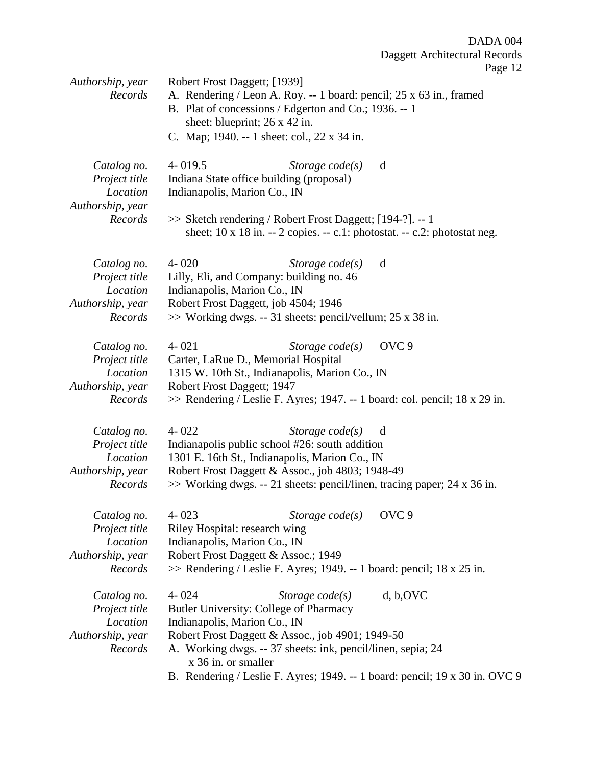| Authorship, year                                                        | Robert Frost Daggett; [1939]                                                                                                                                      |                   | 1.45                                                                                         |
|-------------------------------------------------------------------------|-------------------------------------------------------------------------------------------------------------------------------------------------------------------|-------------------|----------------------------------------------------------------------------------------------|
| Records                                                                 | B. Plat of concessions / Edgerton and Co.; 1936. -- 1<br>sheet: blueprint; 26 x 42 in.                                                                            |                   | A. Rendering / Leon A. Roy. -- 1 board: pencil; 25 x 63 in., framed                          |
|                                                                         | C. Map; 1940. -- 1 sheet: col., 22 x 34 in.                                                                                                                       |                   |                                                                                              |
| Catalog no.<br>Project title<br>Location<br>Authorship, year            | $4 - 019.5$<br>Indiana State office building (proposal)<br>Indianapolis, Marion Co., IN                                                                           | Storage $code(s)$ | d                                                                                            |
| Records                                                                 | >> Sketch rendering / Robert Frost Daggett; [194-?]. -- 1                                                                                                         |                   | sheet; 10 x 18 in. -- 2 copies. -- c.1: photostat. -- c.2: photostat neg.                    |
| Catalog no.<br>Project title<br>Location<br>Authorship, year            | $4 - 020$<br>Lilly, Eli, and Company: building no. 46<br>Indianapolis, Marion Co., IN<br>Robert Frost Daggett, job 4504; 1946                                     | Storage $code(s)$ | d                                                                                            |
| Records                                                                 | $\gg$ Working dwgs. -- 31 sheets: pencil/vellum; 25 x 38 in.                                                                                                      |                   |                                                                                              |
| Catalog no.<br>Project title                                            | $4 - 021$<br>Carter, LaRue D., Memorial Hospital                                                                                                                  | Storage $code(s)$ | OVC <sub>9</sub>                                                                             |
| Location<br>Authorship, year<br>Records                                 | 1315 W. 10th St., Indianapolis, Marion Co., IN<br>Robert Frost Daggett; 1947                                                                                      |                   | $\gg$ Rendering / Leslie F. Ayres; 1947. -- 1 board: col. pencil; 18 x 29 in.                |
| Catalog no.<br>Project title<br>Location<br>Authorship, year<br>Records | $4 - 022$<br>Indianapolis public school #26: south addition<br>1301 E. 16th St., Indianapolis, Marion Co., IN<br>Robert Frost Daggett & Assoc., job 4803; 1948-49 | Storage $code(s)$ | d<br>$\gg$ Working dwgs. -- 21 sheets: pencil/linen, tracing paper; 24 x 36 in.              |
| Catalog no.<br>Project title<br>Location<br>Authorship, year<br>Records | $4 - 023$<br>Riley Hospital: research wing<br>Indianapolis, Marion Co., IN<br>Robert Frost Daggett & Assoc.; 1949                                                 | Storage $code(s)$ | OVC <sub>9</sub><br>$\gg$ Rendering / Leslie F. Ayres; 1949. -- 1 board: pencil; 18 x 25 in. |
| Catalog no.<br>Project title<br>Location                                | $4 - 024$<br>Butler University: College of Pharmacy<br>Indianapolis, Marion Co., IN                                                                               | Storage $code(s)$ | d, b, OVC                                                                                    |
| Authorship, year<br>Records                                             | Robert Frost Daggett & Assoc., job 4901; 1949-50<br>A. Working dwgs. -- 37 sheets: ink, pencil/linen, sepia; 24<br>x 36 in. or smaller                            |                   |                                                                                              |
|                                                                         |                                                                                                                                                                   |                   | B. Rendering / Leslie F. Ayres; 1949. -- 1 board: pencil; 19 x 30 in. OVC 9                  |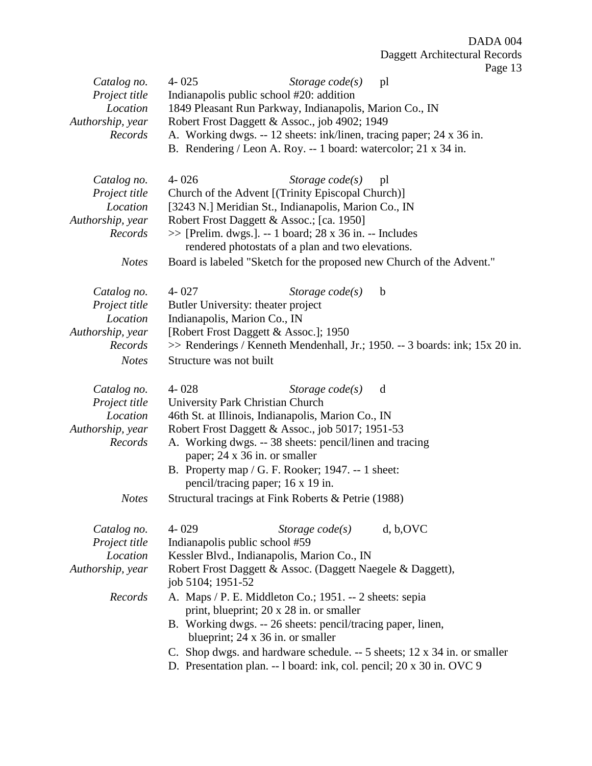| Catalog no.<br>Project title<br>Location<br>Authorship, year | $4 - 025$<br>Storage $code(s)$<br>pl<br>Indianapolis public school #20: addition<br>1849 Pleasant Run Parkway, Indianapolis, Marion Co., IN<br>Robert Frost Daggett & Assoc., job 4902; 1949 |  |
|--------------------------------------------------------------|----------------------------------------------------------------------------------------------------------------------------------------------------------------------------------------------|--|
| Records                                                      | A. Working dwgs. -- 12 sheets: ink/linen, tracing paper; 24 x 36 in.<br>B. Rendering / Leon A. Roy. -- 1 board: watercolor; 21 x 34 in.                                                      |  |
| Catalog no.<br>Project title                                 | $4 - 026$<br>Storage $code(s)$<br>pl<br>Church of the Advent [(Trinity Episcopal Church)]                                                                                                    |  |
| Location                                                     | [3243 N.] Meridian St., Indianapolis, Marion Co., IN                                                                                                                                         |  |
| Authorship, year                                             | Robert Frost Daggett & Assoc.; [ca. 1950]                                                                                                                                                    |  |
| Records                                                      | $\gg$ [Prelim. dwgs.]. -- 1 board; 28 x 36 in. -- Includes                                                                                                                                   |  |
|                                                              | rendered photostats of a plan and two elevations.                                                                                                                                            |  |
| <b>Notes</b>                                                 | Board is labeled "Sketch for the proposed new Church of the Advent."                                                                                                                         |  |
| Catalog no.                                                  | $4 - 027$<br>Storage $code(s)$<br>$\mathbf b$                                                                                                                                                |  |
| Project title                                                | Butler University: theater project                                                                                                                                                           |  |
| Location                                                     | Indianapolis, Marion Co., IN                                                                                                                                                                 |  |
| Authorship, year<br>Records                                  | [Robert Frost Daggett & Assoc.]; 1950<br>>> Renderings / Kenneth Mendenhall, Jr.; 1950. -- 3 boards: ink; 15x 20 in.                                                                         |  |
| <b>Notes</b>                                                 | Structure was not built                                                                                                                                                                      |  |
|                                                              |                                                                                                                                                                                              |  |
| Catalog no.                                                  | $4 - 028$<br>Storage $code(s)$<br>d                                                                                                                                                          |  |
| Project title                                                | University Park Christian Church                                                                                                                                                             |  |
| Location                                                     | 46th St. at Illinois, Indianapolis, Marion Co., IN                                                                                                                                           |  |
| Authorship, year                                             | Robert Frost Daggett & Assoc., job 5017; 1951-53                                                                                                                                             |  |
| Records                                                      | A. Working dwgs. -- 38 sheets: pencil/linen and tracing<br>paper; 24 x 36 in. or smaller                                                                                                     |  |
|                                                              | B. Property map $/G$ . F. Rooker; 1947. -- 1 sheet:                                                                                                                                          |  |
|                                                              | pencil/tracing paper; 16 x 19 in.                                                                                                                                                            |  |
| <b>Notes</b>                                                 | Structural tracings at Fink Roberts & Petrie (1988)                                                                                                                                          |  |
| Catalog no.                                                  | $4 - 029$<br>d, b, OVC<br>Storage $code(s)$                                                                                                                                                  |  |
| Project title                                                | Indianapolis public school #59                                                                                                                                                               |  |
| Location                                                     | Kessler Blvd., Indianapolis, Marion Co., IN                                                                                                                                                  |  |
| Authorship, year                                             | Robert Frost Daggett & Assoc. (Daggett Naegele & Daggett),<br>job 5104; 1951-52                                                                                                              |  |
| Records                                                      | A. Maps / P. E. Middleton Co.; 1951. -- 2 sheets: sepia<br>print, blueprint; 20 x 28 in. or smaller                                                                                          |  |
|                                                              | B. Working dwgs. -- 26 sheets: pencil/tracing paper, linen,                                                                                                                                  |  |
|                                                              | blueprint; 24 x 36 in. or smaller                                                                                                                                                            |  |
|                                                              | C. Shop dwgs. and hardware schedule. -- 5 sheets; 12 x 34 in. or smaller                                                                                                                     |  |
|                                                              | D. Presentation plan. -- 1 board: ink, col. pencil; 20 x 30 in. OVC 9                                                                                                                        |  |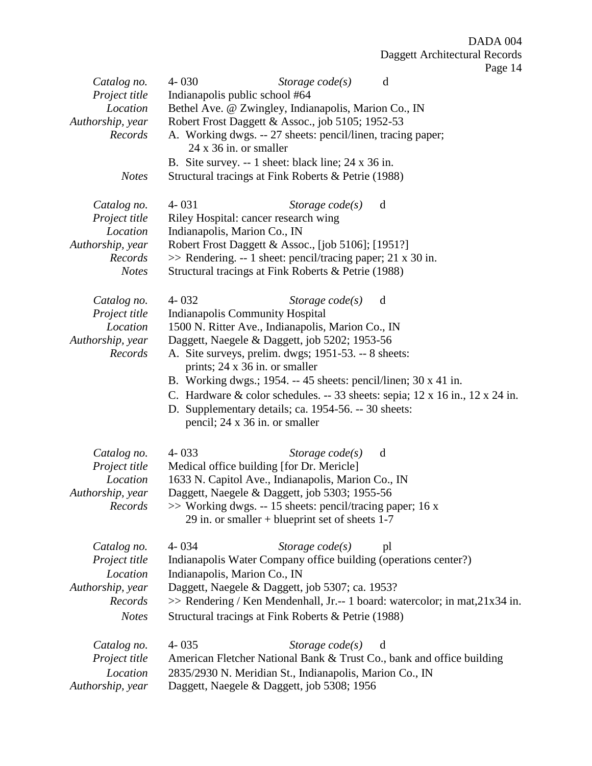|                  | $4 - 030$<br>d                                                               |  |  |
|------------------|------------------------------------------------------------------------------|--|--|
| Catalog no.      | Storage $code(s)$                                                            |  |  |
| Project title    | Indianapolis public school #64                                               |  |  |
| Location         | Bethel Ave. @ Zwingley, Indianapolis, Marion Co., IN                         |  |  |
| Authorship, year | Robert Frost Daggett & Assoc., job 5105; 1952-53                             |  |  |
| Records          | A. Working dwgs. -- 27 sheets: pencil/linen, tracing paper;                  |  |  |
|                  | $24 \times 36$ in. or smaller                                                |  |  |
|                  | B. Site survey. -- 1 sheet: black line; 24 x 36 in.                          |  |  |
| <b>Notes</b>     | Structural tracings at Fink Roberts & Petrie (1988)                          |  |  |
|                  |                                                                              |  |  |
| Catalog no.      | $4 - 031$<br>Storage $code(s)$<br>d                                          |  |  |
| Project title    | Riley Hospital: cancer research wing                                         |  |  |
|                  |                                                                              |  |  |
| Location         | Indianapolis, Marion Co., IN                                                 |  |  |
| Authorship, year | Robert Frost Daggett & Assoc., [job 5106]; [1951?]                           |  |  |
| Records          | >> Rendering. -- 1 sheet: pencil/tracing paper; 21 x 30 in.                  |  |  |
| <b>Notes</b>     | Structural tracings at Fink Roberts & Petrie (1988)                          |  |  |
|                  |                                                                              |  |  |
| Catalog no.      | $4 - 032$<br>Storage $code(s)$<br>d                                          |  |  |
| Project title    | <b>Indianapolis Community Hospital</b>                                       |  |  |
| Location         | 1500 N. Ritter Ave., Indianapolis, Marion Co., IN                            |  |  |
| Authorship, year | Daggett, Naegele & Daggett, job 5202; 1953-56                                |  |  |
| Records          |                                                                              |  |  |
|                  | A. Site surveys, prelim. dwgs; 1951-53. -- 8 sheets:                         |  |  |
|                  | prints; 24 x 36 in. or smaller                                               |  |  |
|                  | B. Working dwgs.; 1954. -- 45 sheets: pencil/linen; $30 \times 41$ in.       |  |  |
|                  | C. Hardware & color schedules. $-33$ sheets: sepia; 12 x 16 in., 12 x 24 in. |  |  |
|                  | D. Supplementary details; ca. 1954-56. -- 30 sheets:                         |  |  |
|                  | pencil; 24 x 36 in. or smaller                                               |  |  |
|                  |                                                                              |  |  |
| Catalog no.      | $4 - 033$<br>Storage $code(s)$<br>d                                          |  |  |
|                  |                                                                              |  |  |
| Project title    | Medical office building [for Dr. Mericle]                                    |  |  |
| Location         | 1633 N. Capitol Ave., Indianapolis, Marion Co., IN                           |  |  |
| Authorship, year | Daggett, Naegele & Daggett, job 5303; 1955-56                                |  |  |
| Records          | $\gg$ Working dwgs. -- 15 sheets: pencil/tracing paper; 16 x                 |  |  |
|                  | 29 in. or smaller + blueprint set of sheets $1-7$                            |  |  |
|                  |                                                                              |  |  |
| Catalog no.      | $4 - 034$<br>Storage $code(s)$<br>pl                                         |  |  |
| Project title    | Indianapolis Water Company office building (operations center?)              |  |  |
| Location         | Indianapolis, Marion Co., IN                                                 |  |  |
| Authorship, year | Daggett, Naegele & Daggett, job 5307; ca. 1953?                              |  |  |
| Records          |                                                                              |  |  |
|                  | >> Rendering / Ken Mendenhall, Jr.-- 1 board: watercolor; in mat, 21x34 in.  |  |  |
| <b>Notes</b>     | Structural tracings at Fink Roberts & Petrie (1988)                          |  |  |
|                  |                                                                              |  |  |
| Catalog no.      | $4 - 035$<br>Storage $code(s)$<br>d                                          |  |  |
| Project title    | American Fletcher National Bank & Trust Co., bank and office building        |  |  |
| Location         | 2835/2930 N. Meridian St., Indianapolis, Marion Co., IN                      |  |  |
| Authorship, year | Daggett, Naegele & Daggett, job 5308; 1956                                   |  |  |
|                  |                                                                              |  |  |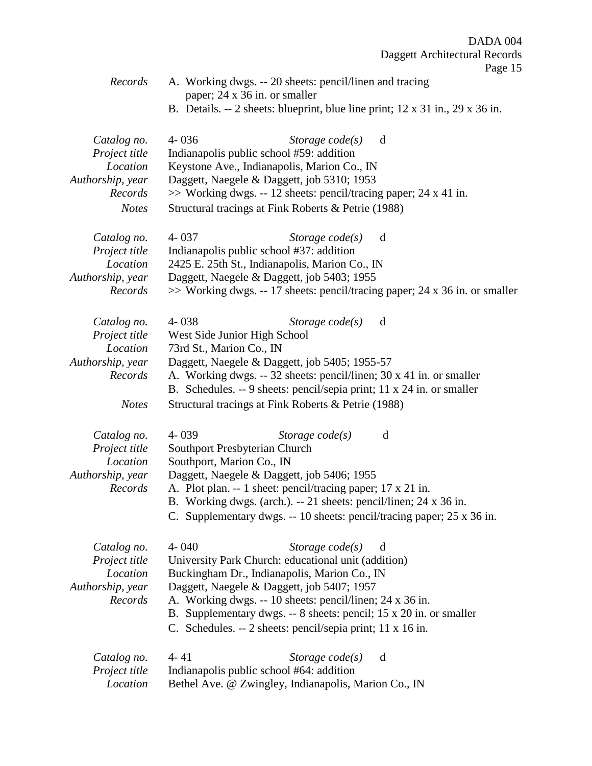|                           | $1 \mu_{\mathcal{S}}$ u.                                                      |
|---------------------------|-------------------------------------------------------------------------------|
| Records                   | A. Working dwgs. -- 20 sheets: pencil/linen and tracing                       |
|                           | paper; 24 x 36 in. or smaller                                                 |
|                           | B. Details. $-2$ sheets: blueprint, blue line print; 12 x 31 in., 29 x 36 in. |
| Catalog no.               | $4 - 036$<br>Storage $code(s)$<br>d                                           |
| Project title             | Indianapolis public school #59: addition                                      |
| Location                  | Keystone Ave., Indianapolis, Marion Co., IN                                   |
| Authorship, year          | Daggett, Naegele & Daggett, job 5310; 1953                                    |
| Records                   | $\gg$ Working dwgs. -- 12 sheets: pencil/tracing paper; 24 x 41 in.           |
| <b>Notes</b>              | Structural tracings at Fink Roberts & Petrie (1988)                           |
|                           |                                                                               |
| Catalog no.               | $4 - 037$<br>Storage $code(s)$<br>d                                           |
| Project title             | Indianapolis public school #37: addition                                      |
| Location                  | 2425 E. 25th St., Indianapolis, Marion Co., IN                                |
| Authorship, year          | Daggett, Naegele & Daggett, job 5403; 1955                                    |
| Records                   | >> Working dwgs. -- 17 sheets: pencil/tracing paper; 24 x 36 in. or smaller   |
| Catalog no.               | $4 - 038$<br>Storage $code(s)$<br>d                                           |
| Project title             | West Side Junior High School                                                  |
| Location                  | 73rd St., Marion Co., IN                                                      |
| Authorship, year          | Daggett, Naegele & Daggett, job 5405; 1955-57                                 |
| Records                   | A. Working dwgs. -- 32 sheets: pencil/linen; 30 x 41 in. or smaller           |
|                           | B. Schedules. -- 9 sheets: pencil/sepia print; 11 x 24 in. or smaller         |
| <b>Notes</b>              | Structural tracings at Fink Roberts & Petrie (1988)                           |
|                           | $4 - 039$<br>d                                                                |
| Catalog no.               | Storage $code(s)$<br>Southport Presbyterian Church                            |
| Project title<br>Location |                                                                               |
| Authorship, year          | Southport, Marion Co., IN<br>Daggett, Naegele & Daggett, job 5406; 1955       |
| Records                   | A. Plot plan. -- 1 sheet: pencil/tracing paper; 17 x 21 in.                   |
|                           | B. Working dwgs. (arch.). -- 21 sheets: pencil/linen; 24 x 36 in.             |
|                           |                                                                               |
|                           | C. Supplementary dwgs. -- 10 sheets: pencil/tracing paper; 25 x 36 in.        |
| Catalog no.               | $4 - 040$<br>Storage $code(s)$<br>d                                           |
| Project title             | University Park Church: educational unit (addition)                           |
| Location                  | Buckingham Dr., Indianapolis, Marion Co., IN                                  |
| Authorship, year          | Daggett, Naegele & Daggett, job 5407; 1957                                    |
| Records                   | A. Working dwgs. -- 10 sheets: pencil/linen; 24 x 36 in.                      |
|                           | B. Supplementary dwgs. -- 8 sheets: pencil; 15 x 20 in. or smaller            |
|                           | C. Schedules. -- 2 sheets: pencil/sepia print; 11 x 16 in.                    |
| Catalog no.               | $4 - 41$<br>Storage $code(s)$<br>d                                            |
| Project title             | Indianapolis public school #64: addition                                      |
| Location                  | Bethel Ave. @ Zwingley, Indianapolis, Marion Co., IN                          |
|                           |                                                                               |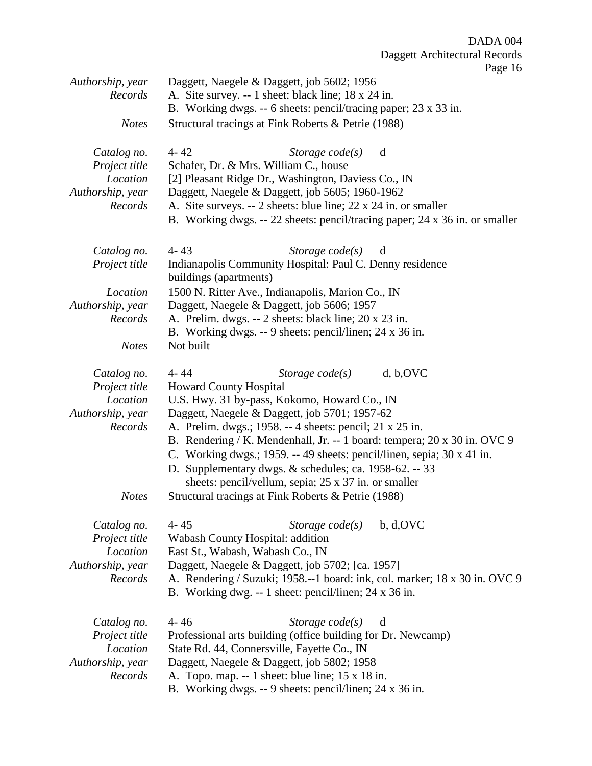Page 16

| Authorship, year | Daggett, Naegele & Daggett, job 5602; 1956                                  |  |  |
|------------------|-----------------------------------------------------------------------------|--|--|
| Records          | A. Site survey. -- 1 sheet: black line; 18 x 24 in.                         |  |  |
|                  | B. Working dwgs. -- 6 sheets: pencil/tracing paper; 23 x 33 in.             |  |  |
| <b>Notes</b>     | Structural tracings at Fink Roberts & Petrie (1988)                         |  |  |
| Catalog no.      | $4 - 42$<br>Storage $code(s)$<br>d                                          |  |  |
| Project title    | Schafer, Dr. & Mrs. William C., house                                       |  |  |
| Location         | [2] Pleasant Ridge Dr., Washington, Daviess Co., IN                         |  |  |
| Authorship, year | Daggett, Naegele & Daggett, job 5605; 1960-1962                             |  |  |
| Records          | A. Site surveys. -- 2 sheets: blue line; 22 x 24 in. or smaller             |  |  |
|                  | B. Working dwgs. -- 22 sheets: pencil/tracing paper; 24 x 36 in. or smaller |  |  |
| Catalog no.      | $4 - 43$<br>Storage $code(s)$<br>d                                          |  |  |
| Project title    | Indianapolis Community Hospital: Paul C. Denny residence                    |  |  |
|                  | buildings (apartments)                                                      |  |  |
| Location         | 1500 N. Ritter Ave., Indianapolis, Marion Co., IN                           |  |  |
| Authorship, year | Daggett, Naegele & Daggett, job 5606; 1957                                  |  |  |
| Records          | A. Prelim. dwgs. -- 2 sheets: black line; 20 x 23 in.                       |  |  |
|                  | B. Working dwgs. -- 9 sheets: pencil/linen; 24 x 36 in.                     |  |  |
| <b>Notes</b>     | Not built                                                                   |  |  |
| Catalog no.      | d, b, OVC<br>$4 - 44$<br>Storage $code(s)$                                  |  |  |
| Project title    | <b>Howard County Hospital</b>                                               |  |  |
| Location         | U.S. Hwy. 31 by-pass, Kokomo, Howard Co., IN                                |  |  |
| Authorship, year | Daggett, Naegele & Daggett, job 5701; 1957-62                               |  |  |
| Records          | A. Prelim. dwgs.; 1958. -- 4 sheets: pencil; 21 x 25 in.                    |  |  |
|                  | B. Rendering / K. Mendenhall, Jr. -- 1 board: tempera; 20 x 30 in. OVC 9    |  |  |
|                  | C. Working dwgs.; 1959. -- 49 sheets: pencil/linen, sepia; 30 x 41 in.      |  |  |
|                  | D. Supplementary dwgs. & schedules; ca. 1958-62. -- 33                      |  |  |
|                  | sheets: pencil/vellum, sepia; 25 x 37 in. or smaller                        |  |  |
| <b>Notes</b>     | Structural tracings at Fink Roberts & Petrie (1988)                         |  |  |
| Catalog no.      | $4 - 45$<br>b, d, OVC<br>Storage $code(s)$                                  |  |  |
| Project title    | Wabash County Hospital: addition                                            |  |  |
| Location         | East St., Wabash, Wabash Co., IN                                            |  |  |
| Authorship, year | Daggett, Naegele & Daggett, job 5702; [ca. 1957]                            |  |  |
| Records          | A. Rendering / Suzuki; 1958.--1 board: ink, col. marker; 18 x 30 in. OVC 9  |  |  |
|                  | B. Working dwg. -- 1 sheet: pencil/linen; 24 x 36 in.                       |  |  |
| Catalog no.      | $4 - 46$<br>Storage $code(s)$<br>d                                          |  |  |
| Project title    | Professional arts building (office building for Dr. Newcamp)                |  |  |
| Location         | State Rd. 44, Connersville, Fayette Co., IN                                 |  |  |
| Authorship, year | Daggett, Naegele & Daggett, job 5802; 1958                                  |  |  |
| Records          | A. Topo. map. $-1$ sheet: blue line; 15 x 18 in.                            |  |  |
|                  | B. Working dwgs. -- 9 sheets: pencil/linen; 24 x 36 in.                     |  |  |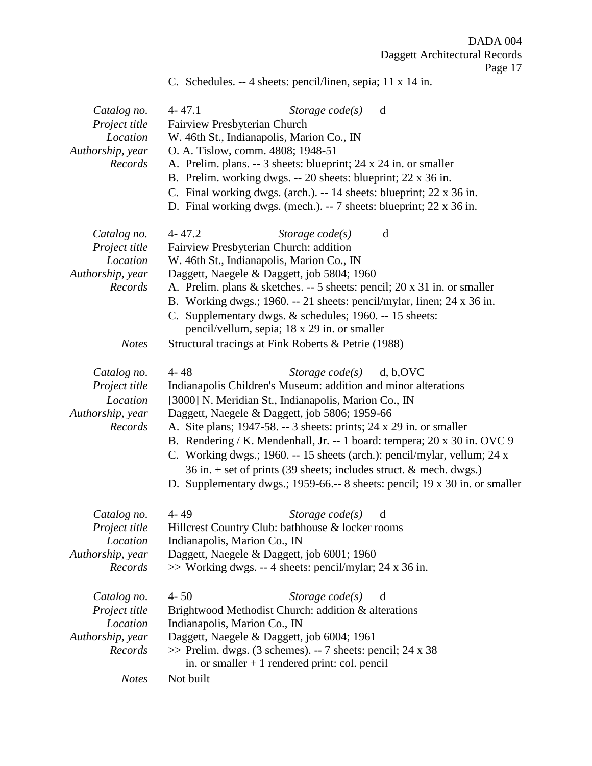C. Schedules. -- 4 sheets: pencil/linen, sepia; 11 x 14 in.

| Catalog no.<br>Project title<br>Location<br>Authorship, year<br>Records | $4 - 47.1$<br>Storage $code(s)$<br>d<br>Fairview Presbyterian Church<br>W. 46th St., Indianapolis, Marion Co., IN<br>O. A. Tislow, comm. 4808; 1948-51<br>A. Prelim. plans. -- 3 sheets: blueprint; 24 x 24 in. or smaller<br>B. Prelim. working dwgs. -- 20 sheets: blueprint; 22 x 36 in.<br>C. Final working dwgs. (arch.). $-14$ sheets: blueprint; 22 x 36 in.<br>D. Final working dwgs. (mech.). $-7$ sheets: blueprint; 22 x 36 in.                                                                                                                                                                |
|-------------------------------------------------------------------------|-----------------------------------------------------------------------------------------------------------------------------------------------------------------------------------------------------------------------------------------------------------------------------------------------------------------------------------------------------------------------------------------------------------------------------------------------------------------------------------------------------------------------------------------------------------------------------------------------------------|
| Catalog no.<br>Project title<br>Location<br>Authorship, year<br>Records | $4 - 47.2$<br>Storage $code(s)$<br>d<br>Fairview Presbyterian Church: addition<br>W. 46th St., Indianapolis, Marion Co., IN<br>Daggett, Naegele & Daggett, job 5804; 1960<br>A. Prelim. plans & sketches. -- 5 sheets: pencil; 20 x 31 in. or smaller<br>B. Working dwgs.; 1960. -- 21 sheets: pencil/mylar, linen; 24 x 36 in.<br>C. Supplementary dwgs. & schedules; 1960. -- 15 sheets:<br>pencil/vellum, sepia; 18 x 29 in. or smaller                                                                                                                                                                |
| <b>Notes</b>                                                            | Structural tracings at Fink Roberts & Petrie (1988)                                                                                                                                                                                                                                                                                                                                                                                                                                                                                                                                                       |
| Catalog no.<br>Project title<br>Location<br>Authorship, year<br>Records | $4 - 48$<br>d, b, OVC<br>Storage $code(s)$<br>Indianapolis Children's Museum: addition and minor alterations<br>[3000] N. Meridian St., Indianapolis, Marion Co., IN<br>Daggett, Naegele & Daggett, job 5806; 1959-66<br>A. Site plans; 1947-58. -- 3 sheets: prints; 24 x 29 in. or smaller<br>B. Rendering / K. Mendenhall, Jr. -- 1 board: tempera; 20 x 30 in. OVC 9<br>C. Working dwgs.; 1960. -- 15 sheets (arch.): pencil/mylar, vellum; 24 x<br>36 in. + set of prints (39 sheets; includes struct. & mech. dwgs.)<br>D. Supplementary dwgs.; 1959-66.-- 8 sheets: pencil; 19 x 30 in. or smaller |
| Catalog no.<br>Project title<br>Location<br>Authorship, year<br>Records | $4 - 49$<br>Storage $code(s)$<br>d<br>Hillcrest Country Club: bathhouse & locker rooms<br>Indianapolis, Marion Co., IN<br>Daggett, Naegele & Daggett, job 6001; 1960<br>$\gg$ Working dwgs. -- 4 sheets: pencil/mylar; 24 x 36 in.                                                                                                                                                                                                                                                                                                                                                                        |
| Catalog no.<br>Project title<br>Location<br>Authorship, year<br>Records | $4 - 50$<br>Storage $code(s)$<br>d<br>Brightwood Methodist Church: addition & alterations<br>Indianapolis, Marion Co., IN<br>Daggett, Naegele & Daggett, job 6004; 1961<br>$\gg$ Prelim. dwgs. (3 schemes). -- 7 sheets: pencil; 24 x 38<br>in. or smaller $+1$ rendered print: col. pencil                                                                                                                                                                                                                                                                                                               |
| <b>Notes</b>                                                            | Not built                                                                                                                                                                                                                                                                                                                                                                                                                                                                                                                                                                                                 |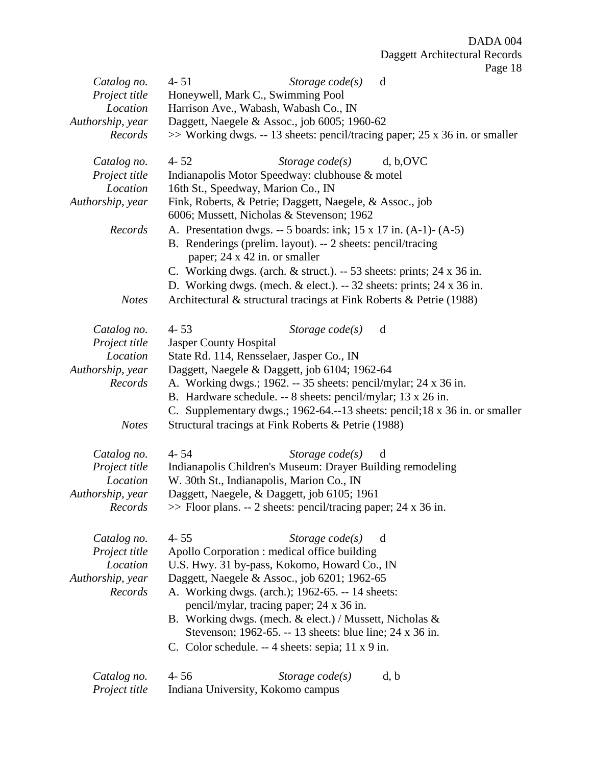| Catalog no.      | $4 - 51$<br>Storage $code(s)$<br>d                                                                    |  |  |  |
|------------------|-------------------------------------------------------------------------------------------------------|--|--|--|
| Project title    | Honeywell, Mark C., Swimming Pool                                                                     |  |  |  |
| Location         | Harrison Ave., Wabash, Wabash Co., IN                                                                 |  |  |  |
| Authorship, year | Daggett, Naegele & Assoc., job 6005; 1960-62                                                          |  |  |  |
| Records          | $\gg$ Working dwgs. -- 13 sheets: pencil/tracing paper; 25 x 36 in. or smaller                        |  |  |  |
| Catalog no.      | d, b, OVC<br>$4 - 52$<br>Storage $code(s)$                                                            |  |  |  |
| Project title    | Indianapolis Motor Speedway: clubhouse & motel                                                        |  |  |  |
| Location         | 16th St., Speedway, Marion Co., IN                                                                    |  |  |  |
| Authorship, year | Fink, Roberts, & Petrie; Daggett, Naegele, & Assoc., job<br>6006; Mussett, Nicholas & Stevenson; 1962 |  |  |  |
| Records          | A. Presentation dwgs. $-5$ boards: ink; 15 x 17 in. (A-1)- (A-5)                                      |  |  |  |
|                  | B. Renderings (prelim. layout). -- 2 sheets: pencil/tracing<br>paper; 24 x 42 in. or smaller          |  |  |  |
|                  | C. Working dwgs. (arch. $&$ struct.). -- 53 sheets: prints; 24 x 36 in.                               |  |  |  |
|                  | D. Working dwgs. (mech. $&$ elect.). -- 32 sheets: prints; 24 x 36 in.                                |  |  |  |
|                  |                                                                                                       |  |  |  |
| <b>Notes</b>     | Architectural & structural tracings at Fink Roberts & Petrie (1988)                                   |  |  |  |
| Catalog no.      | $4 - 53$<br>Storage $code(s)$<br>d                                                                    |  |  |  |
| Project title    | Jasper County Hospital                                                                                |  |  |  |
| Location         | State Rd. 114, Rensselaer, Jasper Co., IN                                                             |  |  |  |
| Authorship, year | Daggett, Naegele & Daggett, job 6104; 1962-64                                                         |  |  |  |
| Records          | A. Working dwgs.; 1962. -- 35 sheets: pencil/mylar; 24 x 36 in.                                       |  |  |  |
|                  | B. Hardware schedule. -- 8 sheets: pencil/mylar; 13 x 26 in.                                          |  |  |  |
|                  | C. Supplementary dwgs.; 1962-64.--13 sheets: pencil; 18 x 36 in. or smaller                           |  |  |  |
| <b>Notes</b>     | Structural tracings at Fink Roberts & Petrie (1988)                                                   |  |  |  |
| Catalog no.      | $4 - 54$<br>Storage $code(s)$<br>d                                                                    |  |  |  |
| Project title    | Indianapolis Children's Museum: Drayer Building remodeling                                            |  |  |  |
| Location         | W. 30th St., Indianapolis, Marion Co., IN                                                             |  |  |  |
| Authorship, year | Daggett, Naegele, & Daggett, job 6105; 1961                                                           |  |  |  |
| Records          | $\gg$ Floor plans. -- 2 sheets: pencil/tracing paper; 24 x 36 in.                                     |  |  |  |
| Catalog no.      | Storage $code(s)$<br>$4 - 55$<br>d                                                                    |  |  |  |
| Project title    | Apollo Corporation : medical office building                                                          |  |  |  |
| Location         | U.S. Hwy. 31 by-pass, Kokomo, Howard Co., IN                                                          |  |  |  |
| Authorship, year | Daggett, Naegele & Assoc., job 6201; 1962-65                                                          |  |  |  |
| Records          | A. Working dwgs. (arch.); 1962-65. -- 14 sheets:                                                      |  |  |  |
|                  | pencil/mylar, tracing paper; 24 x 36 in.                                                              |  |  |  |
|                  | B. Working dwgs. (mech. & elect.) / Mussett, Nicholas &                                               |  |  |  |
|                  | Stevenson; 1962-65. -- 13 sheets: blue line; 24 x 36 in.                                              |  |  |  |
|                  | C. Color schedule. -- 4 sheets: sepia; 11 x 9 in.                                                     |  |  |  |
|                  |                                                                                                       |  |  |  |
| Catalog no.      | $4 - 56$<br>Storage $code(s)$<br>d, b                                                                 |  |  |  |
| Project title    | Indiana University, Kokomo campus                                                                     |  |  |  |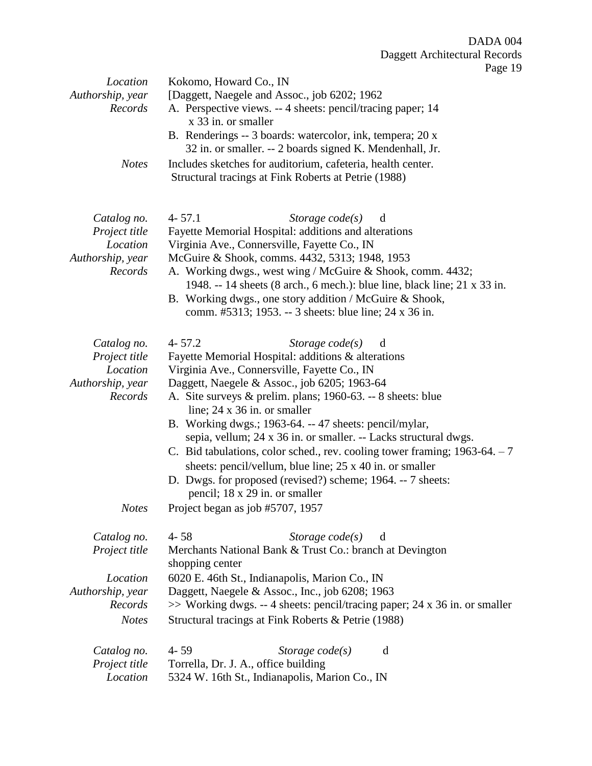Page 19

| Location<br>Authorship, year<br>Records<br><b>Notes</b>                 | Kokomo, Howard Co., IN<br>[Daggett, Naegele and Assoc., job 6202; 1962<br>A. Perspective views. -- 4 sheets: pencil/tracing paper; 14<br>x 33 in. or smaller<br>B. Renderings -- 3 boards: watercolor, ink, tempera; 20 x<br>32 in. or smaller. -- 2 boards signed K. Mendenhall, Jr.<br>Includes sketches for auditorium, cafeteria, health center.                                                                                                                                                                                                                                                                                                                        |
|-------------------------------------------------------------------------|-----------------------------------------------------------------------------------------------------------------------------------------------------------------------------------------------------------------------------------------------------------------------------------------------------------------------------------------------------------------------------------------------------------------------------------------------------------------------------------------------------------------------------------------------------------------------------------------------------------------------------------------------------------------------------|
|                                                                         | Structural tracings at Fink Roberts at Petrie (1988)                                                                                                                                                                                                                                                                                                                                                                                                                                                                                                                                                                                                                        |
| Catalog no.<br>Project title<br>Location<br>Authorship, year<br>Records | $4 - 57.1$<br>Storage $code(s)$<br>d<br>Fayette Memorial Hospital: additions and alterations<br>Virginia Ave., Connersville, Fayette Co., IN<br>McGuire & Shook, comms. 4432, 5313; 1948, 1953<br>A. Working dwgs., west wing / McGuire & Shook, comm. 4432;<br>1948. -- 14 sheets (8 arch., 6 mech.): blue line, black line; 21 x 33 in.<br>B. Working dwgs., one story addition / McGuire & Shook,<br>comm. #5313; 1953. -- 3 sheets: blue line; 24 x 36 in.                                                                                                                                                                                                              |
| Catalog no.<br>Project title<br>Location<br>Authorship, year<br>Records | $4 - 57.2$<br>Storage $code(s)$<br>d<br>Fayette Memorial Hospital: additions & alterations<br>Virginia Ave., Connersville, Fayette Co., IN<br>Daggett, Naegele & Assoc., job 6205; 1963-64<br>A. Site surveys & prelim. plans; 1960-63. -- 8 sheets: blue<br>line; $24 \times 36$ in. or smaller<br>B. Working dwgs.; 1963-64. -- 47 sheets: pencil/mylar,<br>sepia, vellum; 24 x 36 in. or smaller. -- Lacks structural dwgs.<br>C. Bid tabulations, color sched., rev. cooling tower framing; $1963-64. - 7$<br>sheets: pencil/vellum, blue line; 25 x 40 in. or smaller<br>D. Dwgs. for proposed (revised?) scheme; 1964. -- 7 sheets:<br>pencil; 18 x 29 in. or smaller |
| <b>Notes</b>                                                            | Project began as job #5707, 1957                                                                                                                                                                                                                                                                                                                                                                                                                                                                                                                                                                                                                                            |
| Catalog no.<br>Project title                                            | $4 - 58$<br>Storage $code(s)$<br>d<br>Merchants National Bank & Trust Co.: branch at Devington<br>shopping center                                                                                                                                                                                                                                                                                                                                                                                                                                                                                                                                                           |
| Location<br>Authorship, year                                            | 6020 E. 46th St., Indianapolis, Marion Co., IN<br>Daggett, Naegele & Assoc., Inc., job 6208; 1963                                                                                                                                                                                                                                                                                                                                                                                                                                                                                                                                                                           |
| Records<br><b>Notes</b>                                                 | $\gg$ Working dwgs. -- 4 sheets: pencil/tracing paper; 24 x 36 in. or smaller<br>Structural tracings at Fink Roberts & Petrie (1988)                                                                                                                                                                                                                                                                                                                                                                                                                                                                                                                                        |
| Catalog no.<br>Project title<br>Location                                | $4 - 59$<br>Storage $code(s)$<br>d<br>Torrella, Dr. J. A., office building<br>5324 W. 16th St., Indianapolis, Marion Co., IN                                                                                                                                                                                                                                                                                                                                                                                                                                                                                                                                                |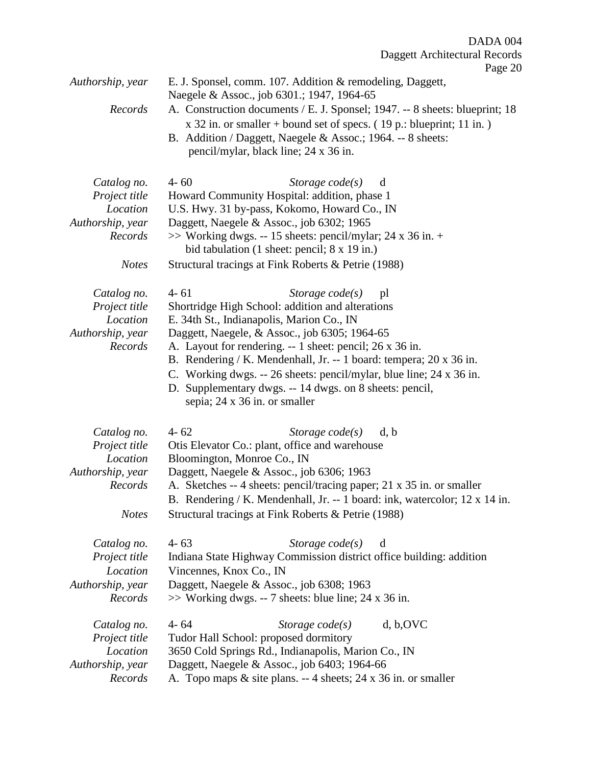| Authorship, year                                                                        | E. J. Sponsel, comm. 107. Addition & remodeling, Daggett,<br>Naegele & Assoc., job 6301.; 1947, 1964-65                                                                                                                                                                                                                                                                                                                                                                                    |
|-----------------------------------------------------------------------------------------|--------------------------------------------------------------------------------------------------------------------------------------------------------------------------------------------------------------------------------------------------------------------------------------------------------------------------------------------------------------------------------------------------------------------------------------------------------------------------------------------|
| Records                                                                                 | A. Construction documents / E. J. Sponsel; 1947. -- 8 sheets: blueprint; 18<br>$x$ 32 in. or smaller + bound set of specs. (19 p.: blueprint; 11 in.)<br>B. Addition / Daggett, Naegele & Assoc.; 1964. -- 8 sheets:<br>pencil/mylar, black line; 24 x 36 in.                                                                                                                                                                                                                              |
| Catalog no.<br>Project title<br>Location<br>Authorship, year<br>Records<br><b>Notes</b> | $4 - 60$<br>Storage $code(s)$<br>d<br>Howard Community Hospital: addition, phase 1<br>U.S. Hwy. 31 by-pass, Kokomo, Howard Co., IN<br>Daggett, Naegele & Assoc., job 6302; 1965<br>$\gg$ Working dwgs. -- 15 sheets: pencil/mylar; 24 x 36 in. +<br>bid tabulation (1 sheet: pencil; 8 x 19 in.)<br>Structural tracings at Fink Roberts & Petrie (1988)                                                                                                                                    |
| Catalog no.<br>Project title<br>Location<br>Authorship, year<br>Records                 | $4 - 61$<br>Storage $code(s)$<br>pl<br>Shortridge High School: addition and alterations<br>E. 34th St., Indianapolis, Marion Co., IN<br>Daggett, Naegele, & Assoc., job 6305; 1964-65<br>A. Layout for rendering. -- 1 sheet: pencil; 26 x 36 in.<br>B. Rendering / K. Mendenhall, Jr. -- 1 board: tempera; 20 x 36 in.<br>C. Working dwgs. -- 26 sheets: pencil/mylar, blue line; 24 x 36 in.<br>D. Supplementary dwgs. -- 14 dwgs. on 8 sheets: pencil,<br>sepia; 24 x 36 in. or smaller |
| Catalog no.<br>Project title<br>Location<br>Authorship, year<br>Records<br><b>Notes</b> | $4 - 62$<br>Storage $code(s)$<br>d, b<br>Otis Elevator Co.: plant, office and warehouse<br>Bloomington, Monroe Co., IN<br>Daggett, Naegele & Assoc., job 6306; 1963<br>A. Sketches -- 4 sheets: pencil/tracing paper; 21 x 35 in. or smaller<br>B. Rendering / K. Mendenhall, Jr. -- 1 board: ink, watercolor; 12 x 14 in.<br>Structural tracings at Fink Roberts & Petrie (1988)                                                                                                          |
| Catalog no.<br>Project title<br>Location<br>Authorship, year<br>Records                 | $4 - 63$<br>Storage $code(s)$<br>d<br>Indiana State Highway Commission district office building: addition<br>Vincennes, Knox Co., IN<br>Daggett, Naegele & Assoc., job 6308; 1963<br>>> Working dwgs. -- 7 sheets: blue line; 24 x 36 in.                                                                                                                                                                                                                                                  |
| Catalog no.<br>Project title<br>Location<br>Authorship, year<br>Records                 | d, b, OVC<br>$4 - 64$<br>Storage $code(s)$<br>Tudor Hall School: proposed dormitory<br>3650 Cold Springs Rd., Indianapolis, Marion Co., IN<br>Daggett, Naegele & Assoc., job 6403; 1964-66<br>A. Topo maps & site plans. -- 4 sheets; 24 x 36 in. or smaller                                                                                                                                                                                                                               |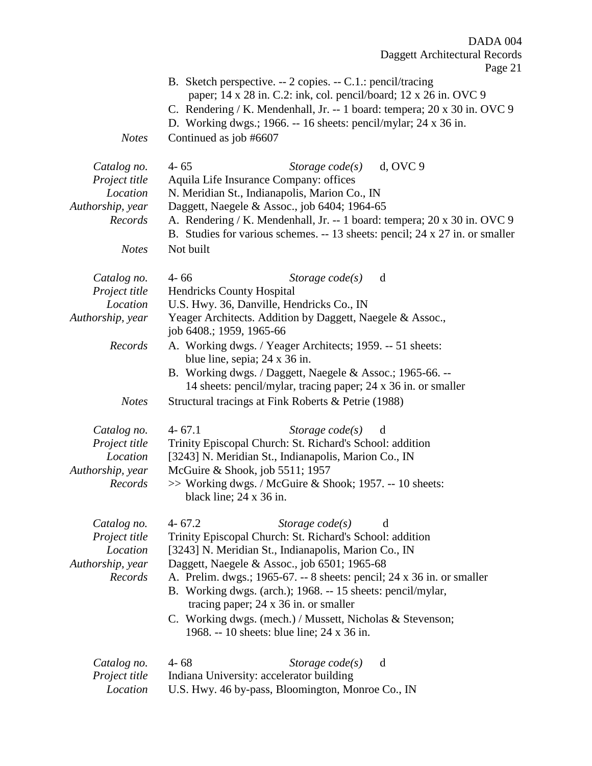|                                                                                         | Daggett Architectural Records<br>Page 21                                                                                                                                                                                                                                                                                                                                                                                                                                                                     |
|-----------------------------------------------------------------------------------------|--------------------------------------------------------------------------------------------------------------------------------------------------------------------------------------------------------------------------------------------------------------------------------------------------------------------------------------------------------------------------------------------------------------------------------------------------------------------------------------------------------------|
| <b>Notes</b>                                                                            | B. Sketch perspective. -- 2 copies. -- C.1.: pencil/tracing<br>paper; 14 x 28 in. C.2: ink, col. pencil/board; 12 x 26 in. OVC 9<br>C. Rendering / K. Mendenhall, Jr. -- 1 board: tempera; 20 x 30 in. OVC 9<br>D. Working dwgs.; 1966. -- 16 sheets: pencil/mylar; 24 x 36 in.<br>Continued as job #6607                                                                                                                                                                                                    |
| Catalog no.<br>Project title<br>Location<br>Authorship, year<br>Records<br><b>Notes</b> | $d$ , OVC $9$<br>$4 - 65$<br>Storage $code(s)$<br>Aquila Life Insurance Company: offices<br>N. Meridian St., Indianapolis, Marion Co., IN<br>Daggett, Naegele & Assoc., job 6404; 1964-65<br>A. Rendering / K. Mendenhall, Jr. -- 1 board: tempera; 20 x 30 in. OVC 9<br>B. Studies for various schemes. -- 13 sheets: pencil; 24 x 27 in. or smaller<br>Not built                                                                                                                                           |
| Catalog no.<br>Project title<br>Location<br>Authorship, year<br>Records                 | $4 - 66$<br>Storage $code(s)$<br>d<br><b>Hendricks County Hospital</b><br>U.S. Hwy. 36, Danville, Hendricks Co., IN<br>Yeager Architects. Addition by Daggett, Naegele & Assoc.,<br>job 6408.; 1959, 1965-66<br>A. Working dwgs. / Yeager Architects; 1959. -- 51 sheets:                                                                                                                                                                                                                                    |
| <b>Notes</b>                                                                            | blue line, sepia; 24 x 36 in.<br>B. Working dwgs. / Daggett, Naegele & Assoc.; 1965-66. --<br>14 sheets: pencil/mylar, tracing paper; 24 x 36 in. or smaller<br>Structural tracings at Fink Roberts & Petrie (1988)                                                                                                                                                                                                                                                                                          |
| Catalog no.<br>Project title<br>Location<br>Authorship, year<br>Records                 | $4 - 67.1$<br>Storage $code(s)$<br>d<br>Trinity Episcopal Church: St. Richard's School: addition<br>[3243] N. Meridian St., Indianapolis, Marion Co., IN<br>McGuire & Shook, job 5511; 1957<br>>> Working dwgs. / McGuire & Shook; 1957. -- 10 sheets:<br>black line; $24 \times 36$ in.                                                                                                                                                                                                                     |
| Catalog no.<br>Project title<br>Location<br>Authorship, year<br>Records                 | $4 - 67.2$<br>Storage $code(s)$<br>d<br>Trinity Episcopal Church: St. Richard's School: addition<br>[3243] N. Meridian St., Indianapolis, Marion Co., IN<br>Daggett, Naegele & Assoc., job 6501; 1965-68<br>A. Prelim. dwgs.; 1965-67. -- 8 sheets: pencil; 24 x 36 in. or smaller<br>B. Working dwgs. (arch.); 1968. -- 15 sheets: pencil/mylar,<br>tracing paper; $24 \times 36$ in. or smaller<br>C. Working dwgs. (mech.) / Mussett, Nicholas & Stevenson;<br>1968. -- 10 sheets: blue line; 24 x 36 in. |
| Catalog no.<br>Project title<br>Location                                                | $4 - 68$<br>Storage $code(s)$<br>d<br>Indiana University: accelerator building<br>U.S. Hwy. 46 by-pass, Bloomington, Monroe Co., IN                                                                                                                                                                                                                                                                                                                                                                          |

DADA 004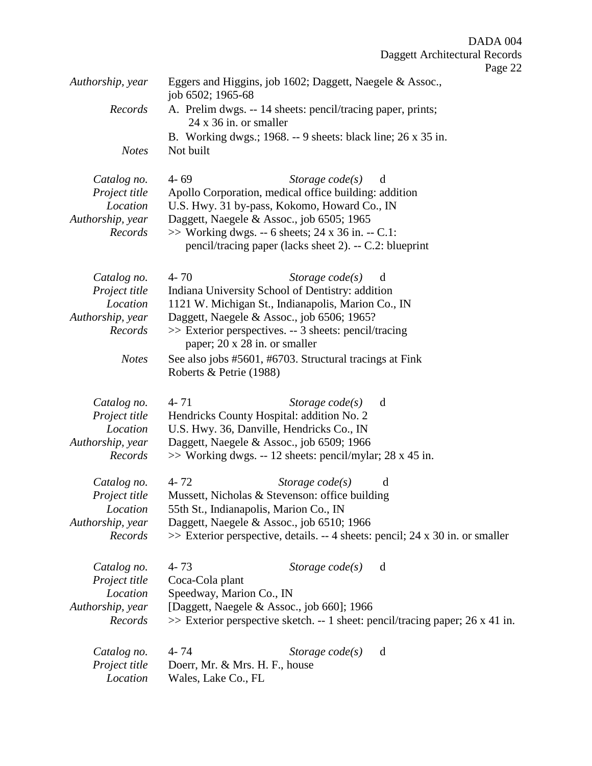|                  | ־ס                                                                                           |
|------------------|----------------------------------------------------------------------------------------------|
| Authorship, year | Eggers and Higgins, job 1602; Daggett, Naegele & Assoc.,<br>job 6502; 1965-68                |
| Records          | A. Prelim dwgs. -- 14 sheets: pencil/tracing paper, prints;<br>$24 \times 36$ in. or smaller |
|                  | B. Working dwgs.; 1968. -- 9 sheets: black line; 26 x 35 in.                                 |
| <b>Notes</b>     | Not built                                                                                    |
|                  |                                                                                              |
| Catalog no.      | $4 - 69$<br>Storage $code(s)$<br>d                                                           |
| Project title    | Apollo Corporation, medical office building: addition                                        |
| Location         | U.S. Hwy. 31 by-pass, Kokomo, Howard Co., IN                                                 |
| Authorship, year | Daggett, Naegele & Assoc., job 6505; 1965                                                    |
| Records          | $\gg$ Working dwgs. -- 6 sheets; 24 x 36 in. -- C.1:                                         |
|                  | pencil/tracing paper (lacks sheet 2). -- C.2: blueprint                                      |
| Catalog no.      | $4 - 70$<br>Storage $code(s)$<br>d                                                           |
| Project title    | Indiana University School of Dentistry: addition                                             |
| Location         | 1121 W. Michigan St., Indianapolis, Marion Co., IN                                           |
| Authorship, year | Daggett, Naegele & Assoc., job 6506; 1965?                                                   |
| Records          | >> Exterior perspectives. -- 3 sheets: pencil/tracing                                        |
|                  | paper; 20 x 28 in. or smaller                                                                |
| <b>Notes</b>     | See also jobs #5601, #6703. Structural tracings at Fink                                      |
|                  | Roberts & Petrie (1988)                                                                      |
|                  |                                                                                              |
| Catalog no.      | $4 - 71$<br>Storage $code(s)$<br>d                                                           |
| Project title    | Hendricks County Hospital: addition No. 2                                                    |
| Location         | U.S. Hwy. 36, Danville, Hendricks Co., IN                                                    |
| Authorship, year | Daggett, Naegele & Assoc., job 6509; 1966                                                    |
| Records          | $\gg$ Working dwgs. -- 12 sheets: pencil/mylar; 28 x 45 in.                                  |
|                  |                                                                                              |
| Catalog no.      | $4 - 72$<br>Storage $code(s)$<br>d                                                           |
| Project title    | Mussett, Nicholas & Stevenson: office building                                               |
| Location         | 55th St., Indianapolis, Marion Co., IN                                                       |
| Authorship, year | Daggett, Naegele & Assoc., job 6510; 1966                                                    |
| Records          | $\gg$ Exterior perspective, details. -- 4 sheets: pencil; 24 x 30 in. or smaller             |
| Catalog no.      | $4 - 73$<br>Storage $code(s)$<br>d                                                           |
| Project title    | Coca-Cola plant                                                                              |
| Location         | Speedway, Marion Co., IN                                                                     |
| Authorship, year | [Daggett, Naegele & Assoc., job 660]; 1966                                                   |
| Records          | $\gg$ Exterior perspective sketch. -- 1 sheet: pencil/tracing paper; 26 x 41 in.             |
|                  |                                                                                              |
| Catalog no.      | 4 - 74<br>Storage $code(s)$<br>d                                                             |
| Project title    | Doerr, Mr. & Mrs. H. F., house                                                               |
| Location         | Wales, Lake Co., FL                                                                          |
|                  |                                                                                              |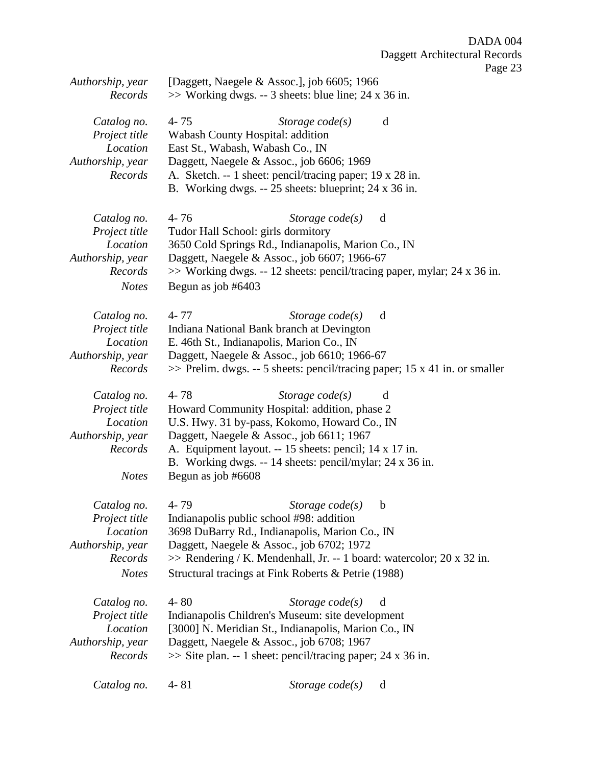Page 23

| Authorship, year<br>Records                                                             |                                | [Daggett, Naegele & Assoc.], job 6605; 1966<br>$\gg$ Working dwgs. -- 3 sheets: blue line; 24 x 36 in.                                                                                                                                                                                          |                                                                                    |
|-----------------------------------------------------------------------------------------|--------------------------------|-------------------------------------------------------------------------------------------------------------------------------------------------------------------------------------------------------------------------------------------------------------------------------------------------|------------------------------------------------------------------------------------|
| Catalog no.<br>Project title<br>Location<br>Authorship, year<br>Records                 | $4 - 75$                       | Storage $code(s)$<br>Wabash County Hospital: addition<br>East St., Wabash, Wabash Co., IN<br>Daggett, Naegele & Assoc., job 6606; 1969<br>A. Sketch. -- 1 sheet: pencil/tracing paper; 19 x 28 in.<br>B. Working dwgs. -- 25 sheets: blueprint; 24 x 36 in.                                     | d                                                                                  |
| Catalog no.<br>Project title<br>Location<br>Authorship, year<br>Records<br><b>Notes</b> | $4 - 76$<br>Begun as job #6403 | Storage $code(s)$<br>Tudor Hall School: girls dormitory<br>3650 Cold Springs Rd., Indianapolis, Marion Co., IN<br>Daggett, Naegele & Assoc., job 6607; 1966-67<br>$\gg$ Working dwgs. -- 12 sheets: pencil/tracing paper, mylar; 24 x 36 in.                                                    | d                                                                                  |
| Catalog no.<br>Project title<br>Location<br>Authorship, year<br>Records                 | $4 - 77$                       | Storage $code(s)$<br>Indiana National Bank branch at Devington<br>E. 46th St., Indianapolis, Marion Co., IN<br>Daggett, Naegele & Assoc., job 6610; 1966-67                                                                                                                                     | d<br>$\gg$ Prelim. dwgs. -- 5 sheets: pencil/tracing paper; 15 x 41 in. or smaller |
| Catalog no.<br>Project title<br>Location<br>Authorship, year<br>Records<br><b>Notes</b> | $4 - 78$<br>Begun as job #6608 | Storage $code(s)$<br>Howard Community Hospital: addition, phase 2<br>U.S. Hwy. 31 by-pass, Kokomo, Howard Co., IN<br>Daggett, Naegele & Assoc., job 6611; 1967<br>A. Equipment layout. -- 15 sheets: pencil; 14 x 17 in.<br>B. Working dwgs. -- 14 sheets: pencil/mylar; 24 x 36 in.            | d                                                                                  |
| Catalog no.<br>Project title<br>Location<br>Authorship, year<br>Records<br><b>Notes</b> | 4-79                           | Storage $code(s)$<br>Indianapolis public school #98: addition<br>3698 DuBarry Rd., Indianapolis, Marion Co., IN<br>Daggett, Naegele & Assoc., job 6702; 1972<br>$\gg$ Rendering / K. Mendenhall, Jr. -- 1 board: watercolor; 20 x 32 in.<br>Structural tracings at Fink Roberts & Petrie (1988) | $\mathbf b$                                                                        |
| Catalog no.<br>Project title<br>Location<br>Authorship, year<br>Records                 | $4 - 80$                       | Storage $code(s)$<br>Indianapolis Children's Museum: site development<br>[3000] N. Meridian St., Indianapolis, Marion Co., IN<br>Daggett, Naegele & Assoc., job 6708; 1967<br>$\gg$ Site plan. -- 1 sheet: pencil/tracing paper; 24 x 36 in.                                                    | d                                                                                  |
| Catalog no.                                                                             | $4 - 81$                       | Storage $code(s)$                                                                                                                                                                                                                                                                               | d                                                                                  |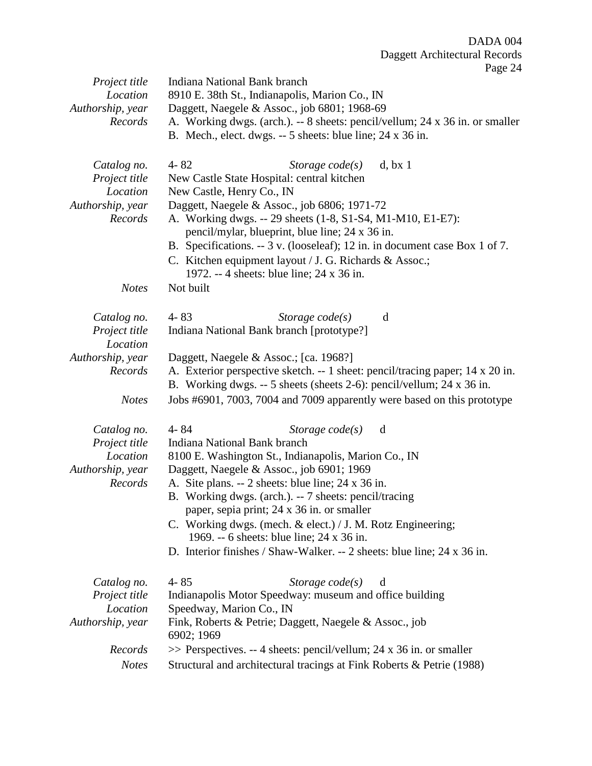Page 24

|                                                            | $\log 2$ .                                                                     |  |  |
|------------------------------------------------------------|--------------------------------------------------------------------------------|--|--|
| Project title                                              | Indiana National Bank branch                                                   |  |  |
| Location<br>8910 E. 38th St., Indianapolis, Marion Co., IN |                                                                                |  |  |
| Authorship, year                                           | Daggett, Naegele & Assoc., job 6801; 1968-69                                   |  |  |
| Records                                                    | A. Working dwgs. (arch.). -- 8 sheets: pencil/vellum; 24 x 36 in. or smaller   |  |  |
|                                                            | B. Mech., elect. dwgs. -- 5 sheets: blue line; 24 x 36 in.                     |  |  |
|                                                            |                                                                                |  |  |
|                                                            |                                                                                |  |  |
| Catalog no.                                                | $4 - 82$<br>Storage $code(s)$<br>d, bx 1                                       |  |  |
| Project title                                              | New Castle State Hospital: central kitchen                                     |  |  |
| Location                                                   | New Castle, Henry Co., IN                                                      |  |  |
| Authorship, year                                           | Daggett, Naegele & Assoc., job 6806; 1971-72                                   |  |  |
| Records                                                    | A. Working dwgs. -- 29 sheets (1-8, S1-S4, M1-M10, E1-E7):                     |  |  |
|                                                            | pencil/mylar, blueprint, blue line; 24 x 36 in.                                |  |  |
|                                                            | B. Specifications. -- 3 v. (looseleaf); 12 in. in document case Box 1 of 7.    |  |  |
|                                                            | C. Kitchen equipment layout / J. G. Richards & Assoc.;                         |  |  |
|                                                            | 1972. -- 4 sheets: blue line; 24 x 36 in.                                      |  |  |
| <b>Notes</b>                                               | Not built                                                                      |  |  |
|                                                            |                                                                                |  |  |
|                                                            |                                                                                |  |  |
| Catalog no.                                                | $4 - 83$<br>Storage $code(s)$<br>d                                             |  |  |
| Project title                                              | Indiana National Bank branch [prototype?]                                      |  |  |
| Location                                                   |                                                                                |  |  |
| Authorship, year                                           | Daggett, Naegele & Assoc.; [ca. 1968?]                                         |  |  |
| Records                                                    | A. Exterior perspective sketch. -- 1 sheet: pencil/tracing paper; 14 x 20 in.  |  |  |
|                                                            | B. Working dwgs. -- 5 sheets (sheets 2-6): pencil/vellum; 24 x 36 in.          |  |  |
| <b>Notes</b>                                               | Jobs #6901, 7003, 7004 and 7009 apparently were based on this prototype        |  |  |
|                                                            |                                                                                |  |  |
|                                                            | $4 - 84$<br>d                                                                  |  |  |
| Catalog no.                                                | Storage $code(s)$                                                              |  |  |
| Project title                                              | Indiana National Bank branch                                                   |  |  |
| Location                                                   | 8100 E. Washington St., Indianapolis, Marion Co., IN                           |  |  |
| Authorship, year                                           | Daggett, Naegele & Assoc., job 6901; 1969                                      |  |  |
| Records                                                    | A. Site plans. -- 2 sheets: blue line; 24 x 36 in.                             |  |  |
|                                                            | B. Working dwgs. (arch.). -- 7 sheets: pencil/tracing                          |  |  |
|                                                            | paper, sepia print; 24 x 36 in. or smaller                                     |  |  |
|                                                            | C. Working dwgs. (mech. & elect.) / J. M. Rotz Engineering;                    |  |  |
|                                                            | 1969. -- 6 sheets: blue line; 24 x 36 in.                                      |  |  |
|                                                            | D. Interior finishes / Shaw-Walker. -- 2 sheets: blue line; $24 \times 36$ in. |  |  |
|                                                            |                                                                                |  |  |
|                                                            | $4 - 85$                                                                       |  |  |
| Catalog no.                                                | Storage $code(s)$<br>d                                                         |  |  |
| Project title                                              | Indianapolis Motor Speedway: museum and office building                        |  |  |
| Location                                                   | Speedway, Marion Co., IN                                                       |  |  |
| Authorship, year                                           | Fink, Roberts & Petrie; Daggett, Naegele & Assoc., job                         |  |  |
|                                                            | 6902; 1969                                                                     |  |  |
| Records                                                    | $\gg$ Perspectives. -- 4 sheets: pencil/vellum; 24 x 36 in. or smaller         |  |  |
| <b>Notes</b>                                               | Structural and architectural tracings at Fink Roberts & Petrie (1988)          |  |  |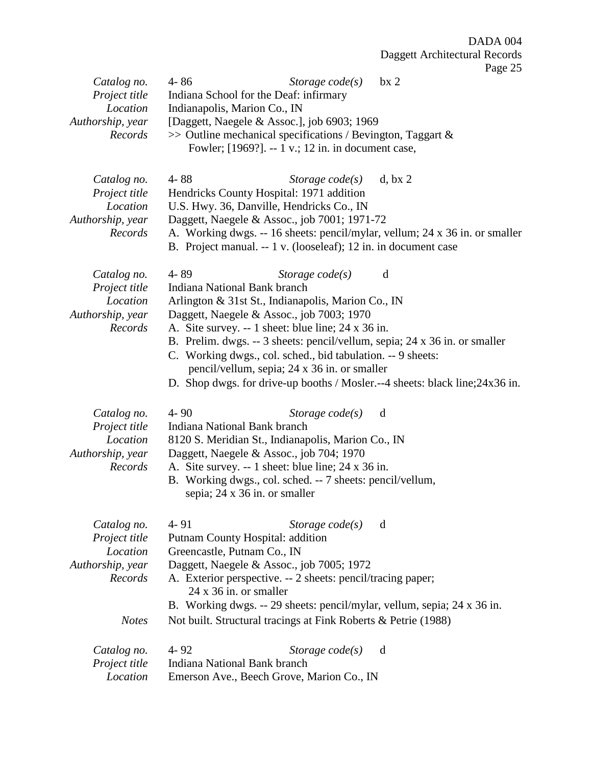| Catalog no.                  | $4 - 86$                      | Storage $code(s)$                                                            | bx <sub>2</sub> |  |
|------------------------------|-------------------------------|------------------------------------------------------------------------------|-----------------|--|
| Project title                |                               | Indiana School for the Deaf: infirmary                                       |                 |  |
| Location                     | Indianapolis, Marion Co., IN  |                                                                              |                 |  |
| Authorship, year             |                               | [Daggett, Naegele & Assoc.], job 6903; 1969                                  |                 |  |
| Records                      |                               | $\gg$ Outline mechanical specifications / Bevington, Taggart &               |                 |  |
|                              |                               | Fowler; [1969?]. -- 1 v.; 12 in. in document case,                           |                 |  |
|                              |                               |                                                                              |                 |  |
| Catalog no.                  | $4 - 88$                      | Storage $code(s)$                                                            | d, bx 2         |  |
| Project title                |                               | Hendricks County Hospital: 1971 addition                                     |                 |  |
| Location                     |                               |                                                                              |                 |  |
|                              |                               | U.S. Hwy. 36, Danville, Hendricks Co., IN                                    |                 |  |
| Authorship, year             |                               | Daggett, Naegele & Assoc., job 7001; 1971-72                                 |                 |  |
| Records                      |                               | A. Working dwgs. -- 16 sheets: pencil/mylar, vellum; 24 x 36 in. or smaller  |                 |  |
|                              |                               | B. Project manual. -- 1 v. (looseleaf); 12 in. in document case              |                 |  |
| Catalog no.                  | 4-89                          | Storage $code(s)$                                                            | d               |  |
| Project title                | Indiana National Bank branch  |                                                                              |                 |  |
| Location                     |                               | Arlington & 31st St., Indianapolis, Marion Co., IN                           |                 |  |
| Authorship, year             |                               | Daggett, Naegele & Assoc., job 7003; 1970                                    |                 |  |
| Records                      |                               | A. Site survey. -- 1 sheet: blue line; 24 x 36 in.                           |                 |  |
|                              |                               |                                                                              |                 |  |
|                              |                               | B. Prelim. dwgs. -- 3 sheets: pencil/vellum, sepia; 24 x 36 in. or smaller   |                 |  |
|                              |                               | C. Working dwgs., col. sched., bid tabulation. -- 9 sheets:                  |                 |  |
|                              |                               | pencil/vellum, sepia; 24 x 36 in. or smaller                                 |                 |  |
|                              |                               | D. Shop dwgs. for drive-up booths / Mosler.--4 sheets: black line; 24x36 in. |                 |  |
|                              | $4 - 90$                      |                                                                              | d               |  |
| Catalog no.<br>Project title | Indiana National Bank branch  | Storage $code(s)$                                                            |                 |  |
| Location                     |                               |                                                                              |                 |  |
|                              |                               | 8120 S. Meridian St., Indianapolis, Marion Co., IN                           |                 |  |
| Authorship, year             |                               | Daggett, Naegele & Assoc., job 704; 1970                                     |                 |  |
| Records                      |                               | A. Site survey. -- 1 sheet: blue line; 24 x 36 in.                           |                 |  |
|                              |                               | B. Working dwgs., col. sched. -- 7 sheets: pencil/vellum,                    |                 |  |
|                              |                               | sepia; 24 x 36 in. or smaller                                                |                 |  |
|                              |                               |                                                                              |                 |  |
| Catalog no.                  | $4 - 91$                      | Storage $code(s)$                                                            | d               |  |
| Project title                |                               | Putnam County Hospital: addition                                             |                 |  |
| Location                     | Greencastle, Putnam Co., IN   |                                                                              |                 |  |
| Authorship, year             |                               | Daggett, Naegele & Assoc., job 7005; 1972                                    |                 |  |
| Records                      |                               | A. Exterior perspective. -- 2 sheets: pencil/tracing paper;                  |                 |  |
|                              | $24 \times 36$ in. or smaller |                                                                              |                 |  |
|                              |                               | B. Working dwgs. -- 29 sheets: pencil/mylar, vellum, sepia; 24 x 36 in.      |                 |  |
| <b>Notes</b>                 |                               | Not built. Structural tracings at Fink Roberts & Petrie (1988)               |                 |  |
|                              |                               |                                                                              |                 |  |
| Catalog no.                  | $4 - 92$                      | Storage $code(s)$                                                            | d               |  |
| Project title                | Indiana National Bank branch  |                                                                              |                 |  |
| Location                     |                               | Emerson Ave., Beech Grove, Marion Co., IN                                    |                 |  |
|                              |                               |                                                                              |                 |  |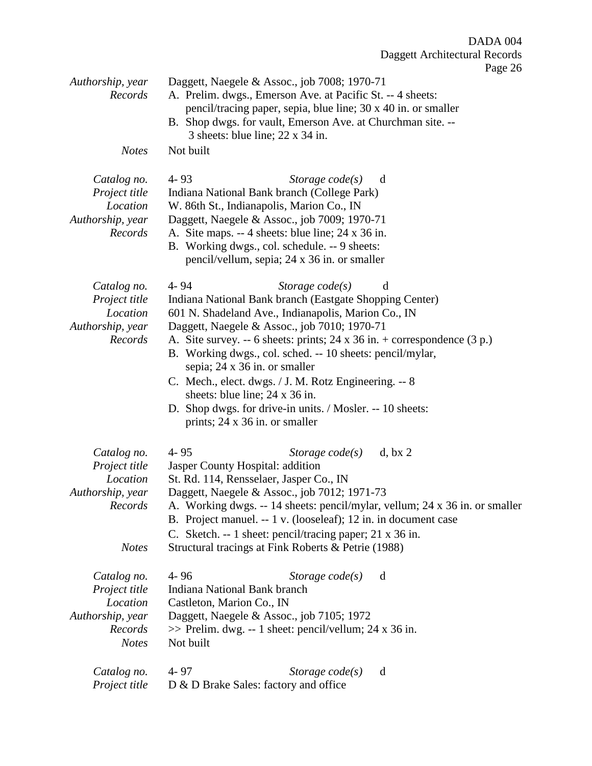Page 26

|                                                                                         | $4.456 \pm 0.00$                                                                                                                                                                                                                                                                                                                                                                                                                                                                                                                                                                |
|-----------------------------------------------------------------------------------------|---------------------------------------------------------------------------------------------------------------------------------------------------------------------------------------------------------------------------------------------------------------------------------------------------------------------------------------------------------------------------------------------------------------------------------------------------------------------------------------------------------------------------------------------------------------------------------|
| Authorship, year<br>Records                                                             | Daggett, Naegele & Assoc., job 7008; 1970-71<br>A. Prelim. dwgs., Emerson Ave. at Pacific St. -- 4 sheets:<br>pencil/tracing paper, sepia, blue line; 30 x 40 in. or smaller<br>B. Shop dwgs. for vault, Emerson Ave. at Churchman site. --<br>3 sheets: blue line; 22 x 34 in.                                                                                                                                                                                                                                                                                                 |
| <b>Notes</b>                                                                            | Not built                                                                                                                                                                                                                                                                                                                                                                                                                                                                                                                                                                       |
| Catalog no.<br>Project title<br>Location<br>Authorship, year<br>Records                 | $4 - 93$<br>Storage $code(s)$<br>d<br>Indiana National Bank branch (College Park)<br>W. 86th St., Indianapolis, Marion Co., IN<br>Daggett, Naegele & Assoc., job 7009; 1970-71<br>A. Site maps. -- 4 sheets: blue line; 24 x 36 in.<br>B. Working dwgs., col. schedule. -- 9 sheets:<br>pencil/vellum, sepia; 24 x 36 in. or smaller                                                                                                                                                                                                                                            |
| Catalog no.<br>Project title<br>Location<br>Authorship, year<br>Records                 | $4 - 94$<br>Storage $code(s)$<br>d<br>Indiana National Bank branch (Eastgate Shopping Center)<br>601 N. Shadeland Ave., Indianapolis, Marion Co., IN<br>Daggett, Naegele & Assoc., job 7010; 1970-71<br>A. Site survey. -- 6 sheets: prints; $24 \times 36$ in. + correspondence (3 p.)<br>B. Working dwgs., col. sched. -- 10 sheets: pencil/mylar,<br>sepia; 24 x 36 in. or smaller<br>C. Mech., elect. dwgs. / J. M. Rotz Engineering. -- 8<br>sheets: blue line; 24 x 36 in.<br>D. Shop dwgs. for drive-in units. / Mosler. -- 10 sheets:<br>prints; 24 x 36 in. or smaller |
| Catalog no.<br>Project title<br>Location<br>Authorship, year<br>Records<br><b>Notes</b> | $4 - 95$<br>d, bx 2<br>Storage $code(s)$<br>Jasper County Hospital: addition<br>St. Rd. 114, Rensselaer, Jasper Co., IN<br>Daggett, Naegele & Assoc., job 7012; 1971-73<br>A. Working dwgs. -- 14 sheets: pencil/mylar, vellum; 24 x 36 in. or smaller<br>B. Project manuel. -- 1 v. (looseleaf); 12 in. in document case<br>C. Sketch. -- 1 sheet: pencil/tracing paper; 21 x 36 in.<br>Structural tracings at Fink Roberts & Petrie (1988)                                                                                                                                    |
| Catalog no.<br>Project title<br>Location<br>Authorship, year<br>Records<br><b>Notes</b> | $4 - 96$<br>Storage $code(s)$<br>d<br><b>Indiana National Bank branch</b><br>Castleton, Marion Co., IN<br>Daggett, Naegele & Assoc., job 7105; 1972<br>$\gg$ Prelim. dwg. -- 1 sheet: pencil/vellum; 24 x 36 in.<br>Not built                                                                                                                                                                                                                                                                                                                                                   |
| Catalog no.<br>Project title                                                            | $4 - 97$<br>Storage $code(s)$<br>d<br>D & D Brake Sales: factory and office                                                                                                                                                                                                                                                                                                                                                                                                                                                                                                     |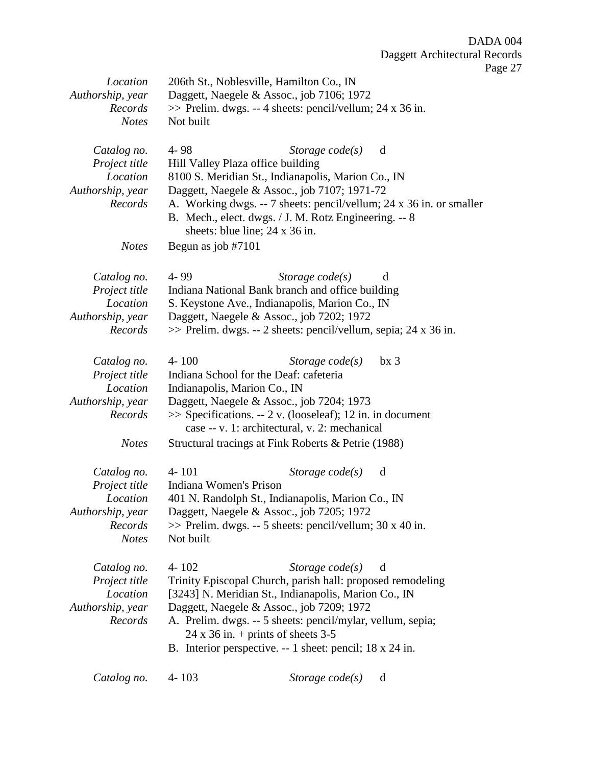| Location<br>Authorship, year<br>Records | 206th St., Noblesville, Hamilton Co., IN<br>Daggett, Naegele & Assoc., job 7106; 1972<br>$\gg$ Prelim. dwgs. -- 4 sheets: pencil/vellum; 24 x 36 in. |                                                                                                                                                                                                                |  |
|-----------------------------------------|------------------------------------------------------------------------------------------------------------------------------------------------------|----------------------------------------------------------------------------------------------------------------------------------------------------------------------------------------------------------------|--|
| <b>Notes</b>                            | Not built                                                                                                                                            |                                                                                                                                                                                                                |  |
| Catalog no.                             | $4 - 98$                                                                                                                                             | Storage $code(s)$<br>d                                                                                                                                                                                         |  |
| Project title                           | Hill Valley Plaza office building                                                                                                                    |                                                                                                                                                                                                                |  |
| Location                                |                                                                                                                                                      | 8100 S. Meridian St., Indianapolis, Marion Co., IN                                                                                                                                                             |  |
| Authorship, year<br>Records             |                                                                                                                                                      | Daggett, Naegele & Assoc., job 7107; 1971-72<br>A. Working dwgs. -- 7 sheets: pencil/vellum; 24 x 36 in. or smaller<br>B. Mech., elect. dwgs. / J. M. Rotz Engineering. -- 8<br>sheets: blue line; 24 x 36 in. |  |
| <b>Notes</b>                            | Begun as job $#7101$                                                                                                                                 |                                                                                                                                                                                                                |  |
| Catalog no.                             | 4-99                                                                                                                                                 | Storage $code(s)$<br>d                                                                                                                                                                                         |  |
| Project title                           |                                                                                                                                                      | Indiana National Bank branch and office building                                                                                                                                                               |  |
| Location                                |                                                                                                                                                      | S. Keystone Ave., Indianapolis, Marion Co., IN                                                                                                                                                                 |  |
| Authorship, year<br>Records             |                                                                                                                                                      | Daggett, Naegele & Assoc., job 7202; 1972<br>>> Prelim. dwgs. -- 2 sheets: pencil/vellum, sepia; 24 x 36 in.                                                                                                   |  |
|                                         |                                                                                                                                                      |                                                                                                                                                                                                                |  |
| Catalog no.                             | $4 - 100$                                                                                                                                            | Storage $code(s)$<br>bx <sub>3</sub>                                                                                                                                                                           |  |
| Project title                           |                                                                                                                                                      | Indiana School for the Deaf: cafeteria                                                                                                                                                                         |  |
| Location<br>Authorship, year            | Indianapolis, Marion Co., IN                                                                                                                         | Daggett, Naegele & Assoc., job 7204; 1973                                                                                                                                                                      |  |
| Records                                 |                                                                                                                                                      | $\gg$ Specifications. -- 2 v. (looseleaf); 12 in. in document<br>case -- v. 1: architectural, v. 2: mechanical                                                                                                 |  |
| <b>Notes</b>                            |                                                                                                                                                      | Structural tracings at Fink Roberts & Petrie (1988)                                                                                                                                                            |  |
| Catalog no.                             | $4 - 101$                                                                                                                                            | Storage $code(s)$<br>d                                                                                                                                                                                         |  |
| Project title                           | Indiana Women's Prison                                                                                                                               |                                                                                                                                                                                                                |  |
| Location                                |                                                                                                                                                      | 401 N. Randolph St., Indianapolis, Marion Co., IN                                                                                                                                                              |  |
| Authorship, year                        |                                                                                                                                                      | Daggett, Naegele & Assoc., job 7205; 1972                                                                                                                                                                      |  |
| Records                                 |                                                                                                                                                      | $\gg$ Prelim. dwgs. -- 5 sheets: pencil/vellum; 30 x 40 in.                                                                                                                                                    |  |
| <b>Notes</b>                            | Not built                                                                                                                                            |                                                                                                                                                                                                                |  |
| Catalog no.                             | $4 - 102$                                                                                                                                            | Storage $code(s)$<br>d                                                                                                                                                                                         |  |
| Project title                           |                                                                                                                                                      | Trinity Episcopal Church, parish hall: proposed remodeling                                                                                                                                                     |  |
| Location                                |                                                                                                                                                      | [3243] N. Meridian St., Indianapolis, Marion Co., IN                                                                                                                                                           |  |
| Authorship, year                        |                                                                                                                                                      | Daggett, Naegele & Assoc., job 7209; 1972                                                                                                                                                                      |  |
| Records                                 |                                                                                                                                                      | A. Prelim. dwgs. -- 5 sheets: pencil/mylar, vellum, sepia;<br>$24 \times 36$ in. + prints of sheets 3-5                                                                                                        |  |
|                                         |                                                                                                                                                      | B. Interior perspective. -- 1 sheet: pencil; 18 x 24 in.                                                                                                                                                       |  |
| Catalog no.                             | $4 - 103$                                                                                                                                            | Storage $code(s)$<br>d                                                                                                                                                                                         |  |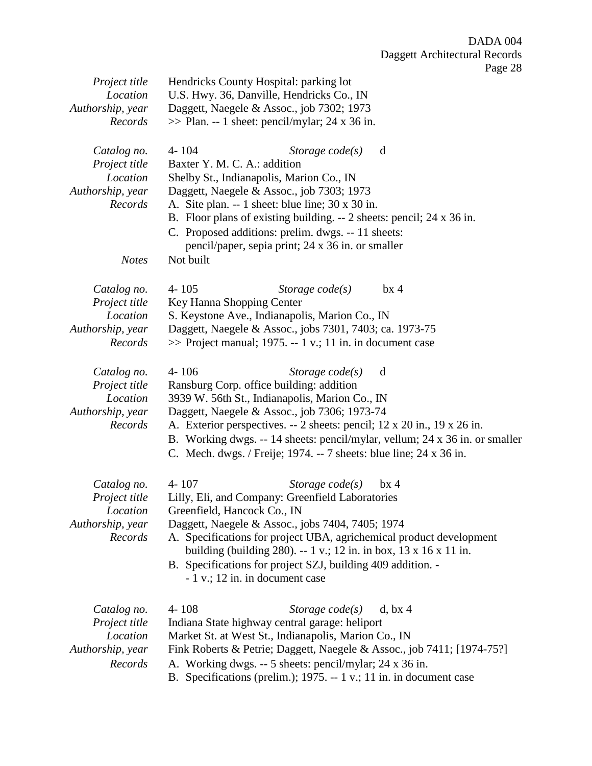| Project title               | Hendricks County Hospital: parking lot                                                                                         |  |  |
|-----------------------------|--------------------------------------------------------------------------------------------------------------------------------|--|--|
| Location                    | U.S. Hwy. 36, Danville, Hendricks Co., IN                                                                                      |  |  |
| Authorship, year<br>Records | Daggett, Naegele & Assoc., job 7302; 1973<br>$\gg$ Plan. -- 1 sheet: pencil/mylar; 24 x 36 in.                                 |  |  |
|                             |                                                                                                                                |  |  |
| Catalog no.                 | 4-104<br>d<br>Storage $code(s)$                                                                                                |  |  |
| Project title               | Baxter Y. M. C. A.: addition                                                                                                   |  |  |
| Location                    | Shelby St., Indianapolis, Marion Co., IN                                                                                       |  |  |
| Authorship, year            | Daggett, Naegele & Assoc., job 7303; 1973                                                                                      |  |  |
| Records                     | A. Site plan. $-1$ sheet: blue line; 30 x 30 in.                                                                               |  |  |
|                             | B. Floor plans of existing building. $-2$ sheets: pencil; 24 x 36 in.                                                          |  |  |
|                             | C. Proposed additions: prelim. dwgs. -- 11 sheets:                                                                             |  |  |
|                             | pencil/paper, sepia print; 24 x 36 in. or smaller                                                                              |  |  |
| <b>Notes</b>                | Not built                                                                                                                      |  |  |
|                             |                                                                                                                                |  |  |
| Catalog no.                 | $4 - 105$<br>Storage $code(s)$<br>$bx \, 4$                                                                                    |  |  |
| Project title               | Key Hanna Shopping Center                                                                                                      |  |  |
| Location                    | S. Keystone Ave., Indianapolis, Marion Co., IN                                                                                 |  |  |
| Authorship, year            | Daggett, Naegele & Assoc., jobs 7301, 7403; ca. 1973-75                                                                        |  |  |
| Records                     | $\gg$ Project manual; 1975. -- 1 v.; 11 in. in document case                                                                   |  |  |
| Catalog no.                 | 4-106<br>Storage $code(s)$<br>d                                                                                                |  |  |
| Project title               | Ransburg Corp. office building: addition                                                                                       |  |  |
| Location                    | 3939 W. 56th St., Indianapolis, Marion Co., IN                                                                                 |  |  |
| Authorship, year            | Daggett, Naegele & Assoc., job 7306; 1973-74                                                                                   |  |  |
| Records                     | A. Exterior perspectives. -- 2 sheets: pencil; 12 x 20 in., 19 x 26 in.                                                        |  |  |
|                             | B. Working dwgs. -- 14 sheets: pencil/mylar, vellum; 24 x 36 in. or smaller                                                    |  |  |
|                             | C. Mech. dwgs. / Freije; 1974. -- 7 sheets: blue line; 24 x 36 in.                                                             |  |  |
|                             |                                                                                                                                |  |  |
| Catalog no.                 | $4 - 107$<br>Storage $code(s)$<br>$bx$ 4<br>Lilly, Eli, and Company: Greenfield Laboratories                                   |  |  |
| Project title<br>Location   | Greenfield, Hancock Co., IN                                                                                                    |  |  |
| Authorship, year            | Daggett, Naegele & Assoc., jobs 7404, 7405; 1974                                                                               |  |  |
| Records                     | A. Specifications for project UBA, agrichemical product development                                                            |  |  |
|                             | building (building 280). -- 1 v.; 12 in. in box, 13 x 16 x 11 in.                                                              |  |  |
|                             | B. Specifications for project SZJ, building 409 addition. -                                                                    |  |  |
|                             | - 1 v.; 12 in. in document case                                                                                                |  |  |
|                             |                                                                                                                                |  |  |
| Catalog no.                 | $4 - 108$<br>Storage $code(s)$<br>d, bx 4                                                                                      |  |  |
| Project title               | Indiana State highway central garage: heliport                                                                                 |  |  |
| Location                    | Market St. at West St., Indianapolis, Marion Co., IN                                                                           |  |  |
| Authorship, year            | Fink Roberts & Petrie; Daggett, Naegele & Assoc., job 7411; [1974-75?]                                                         |  |  |
| Records                     | A. Working dwgs. -- 5 sheets: pencil/mylar; 24 x 36 in.<br>B. Specifications (prelim.); 1975. -- 1 v.; 11 in. in document case |  |  |
|                             |                                                                                                                                |  |  |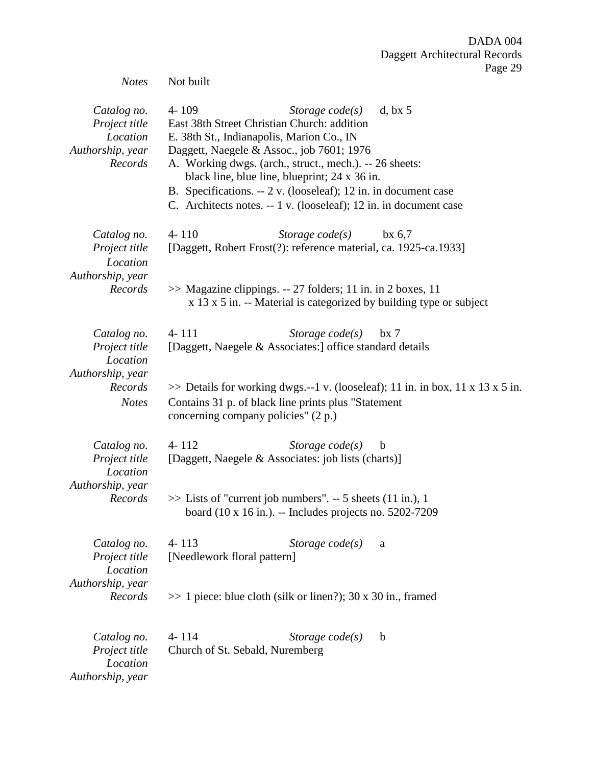| <b>Notes</b>                                                                            | $\frac{1}{2}$ ago $\frac{2}{2}$<br>Not built                                                                                                                                                                                                                                                                                                                                                                                           |
|-----------------------------------------------------------------------------------------|----------------------------------------------------------------------------------------------------------------------------------------------------------------------------------------------------------------------------------------------------------------------------------------------------------------------------------------------------------------------------------------------------------------------------------------|
| Catalog no.<br>Project title<br>Location<br>Authorship, year<br>Records                 | $4 - 109$<br>Storage $code(s)$<br>d, bx 5<br>East 38th Street Christian Church: addition<br>E. 38th St., Indianapolis, Marion Co., IN<br>Daggett, Naegele & Assoc., job 7601; 1976<br>A. Working dwgs. (arch., struct., mech.). -- 26 sheets:<br>black line, blue line, blueprint; 24 x 36 in.<br>B. Specifications. -- 2 v. (looseleaf); 12 in. in document case<br>C. Architects notes. -- 1 v. (looseleaf); 12 in. in document case |
| Catalog no.<br>Project title<br>Location<br>Authorship, year<br>Records                 | $4 - 110$<br>Storage $code(s)$<br>$bx\ 6,7$<br>[Daggett, Robert Frost(?): reference material, ca. 1925-ca.1933]<br>$\gg$ Magazine clippings. -- 27 folders; 11 in. in 2 boxes, 11<br>$x$ 13 $x$ 5 in. -- Material is categorized by building type or subject                                                                                                                                                                           |
| Catalog no.<br>Project title<br>Location<br>Authorship, year<br>Records<br><b>Notes</b> | $4 - 111$<br>Storage $code(s)$<br>$bx \, 7$<br>[Daggett, Naegele & Associates:] office standard details<br>$\gg$ Details for working dwgs.--1 v. (looseleaf); 11 in. in box, 11 x 13 x 5 in.<br>Contains 31 p. of black line prints plus "Statement"<br>concerning company policies" (2 p.)                                                                                                                                            |
| Catalog no.<br>Project title<br>Location<br>Authorship, year<br>Records                 | $4 - 112$<br>Storage $code(s)$<br>$\mathbf b$<br>[Daggett, Naegele & Associates: job lists (charts)]<br>$\gg$ Lists of "current job numbers". -- 5 sheets (11 in.), 1<br>board $(10 \times 16)$ in.). -- Includes projects no. 5202-7209                                                                                                                                                                                               |
| Catalog no.<br>Project title<br>Location<br>Authorship, year<br>Records                 | $4 - 113$<br>Storage $code(s)$<br>a<br>[Needlework floral pattern]<br>$\gg$ 1 piece: blue cloth (silk or linen?); 30 x 30 in., framed                                                                                                                                                                                                                                                                                                  |
| Catalog no.<br>Project title<br>Location<br>Authorship, year                            | $4 - 114$<br>Storage $code(s)$<br>$\mathbf b$<br>Church of St. Sebald, Nuremberg                                                                                                                                                                                                                                                                                                                                                       |